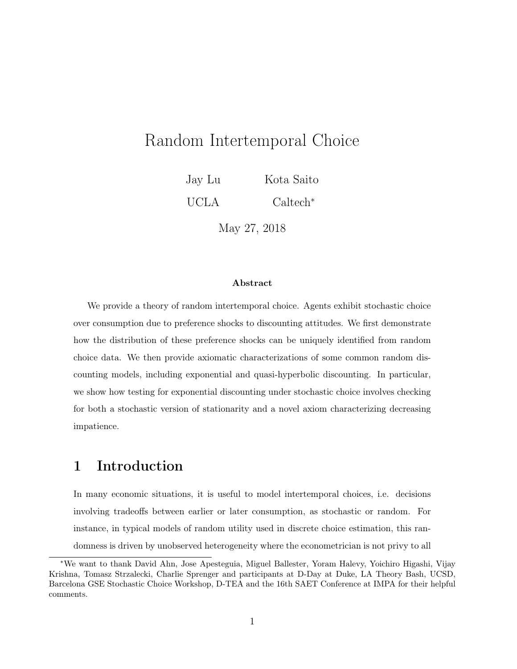# Random Intertemporal Choice

Jay Lu Kota Saito

UCLA Caltech<sup>∗</sup>

May 27, 2018

#### Abstract

We provide a theory of random intertemporal choice. Agents exhibit stochastic choice over consumption due to preference shocks to discounting attitudes. We first demonstrate how the distribution of these preference shocks can be uniquely identified from random choice data. We then provide axiomatic characterizations of some common random discounting models, including exponential and quasi-hyperbolic discounting. In particular, we show how testing for exponential discounting under stochastic choice involves checking for both a stochastic version of stationarity and a novel axiom characterizing decreasing impatience.

# 1 Introduction

In many economic situations, it is useful to model intertemporal choices, i.e. decisions involving tradeoffs between earlier or later consumption, as stochastic or random. For instance, in typical models of random utility used in discrete choice estimation, this randomness is driven by unobserved heterogeneity where the econometrician is not privy to all

<sup>∗</sup>We want to thank David Ahn, Jose Apesteguia, Miguel Ballester, Yoram Halevy, Yoichiro Higashi, Vijay Krishna, Tomasz Strzalecki, Charlie Sprenger and participants at D-Day at Duke, LA Theory Bash, UCSD, Barcelona GSE Stochastic Choice Workshop, D-TEA and the 16th SAET Conference at IMPA for their helpful comments.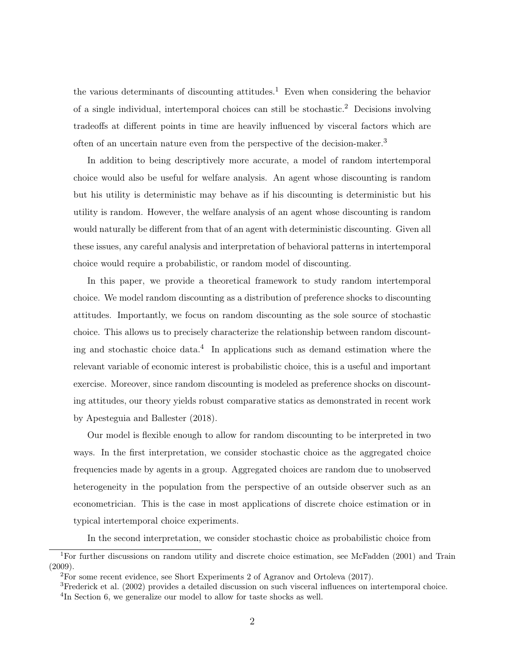the various determinants of discounting attitudes.<sup>1</sup> Even when considering the behavior of a single individual, intertemporal choices can still be stochastic.<sup>2</sup> Decisions involving tradeoffs at different points in time are heavily influenced by visceral factors which are often of an uncertain nature even from the perspective of the decision-maker.<sup>3</sup>

In addition to being descriptively more accurate, a model of random intertemporal choice would also be useful for welfare analysis. An agent whose discounting is random but his utility is deterministic may behave as if his discounting is deterministic but his utility is random. However, the welfare analysis of an agent whose discounting is random would naturally be different from that of an agent with deterministic discounting. Given all these issues, any careful analysis and interpretation of behavioral patterns in intertemporal choice would require a probabilistic, or random model of discounting.

In this paper, we provide a theoretical framework to study random intertemporal choice. We model random discounting as a distribution of preference shocks to discounting attitudes. Importantly, we focus on random discounting as the sole source of stochastic choice. This allows us to precisely characterize the relationship between random discounting and stochastic choice data.<sup>4</sup> In applications such as demand estimation where the relevant variable of economic interest is probabilistic choice, this is a useful and important exercise. Moreover, since random discounting is modeled as preference shocks on discounting attitudes, our theory yields robust comparative statics as demonstrated in recent work by Apesteguia and Ballester (2018).

Our model is flexible enough to allow for random discounting to be interpreted in two ways. In the first interpretation, we consider stochastic choice as the aggregated choice frequencies made by agents in a group. Aggregated choices are random due to unobserved heterogeneity in the population from the perspective of an outside observer such as an econometrician. This is the case in most applications of discrete choice estimation or in typical intertemporal choice experiments.

In the second interpretation, we consider stochastic choice as probabilistic choice from

<sup>1</sup>For further discussions on random utility and discrete choice estimation, see McFadden (2001) and Train  $(2009).$ 

<sup>&</sup>lt;sup>2</sup>For some recent evidence, see Short Experiments 2 of Agranov and Ortoleva (2017).

<sup>&</sup>lt;sup>3</sup>Frederick et al. (2002) provides a detailed discussion on such visceral influences on intertemporal choice. <sup>4</sup>In Section 6, we generalize our model to allow for taste shocks as well.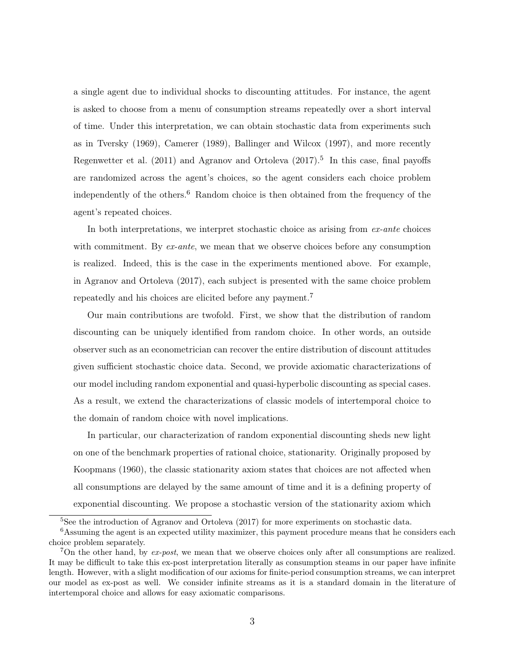a single agent due to individual shocks to discounting attitudes. For instance, the agent is asked to choose from a menu of consumption streams repeatedly over a short interval of time. Under this interpretation, we can obtain stochastic data from experiments such as in Tversky (1969), Camerer (1989), Ballinger and Wilcox (1997), and more recently Regenwetter et al. (2011) and Agranov and Ortoleva (2017).<sup>5</sup> In this case, final payoffs are randomized across the agent's choices, so the agent considers each choice problem independently of the others.<sup>6</sup> Random choice is then obtained from the frequency of the agent's repeated choices.

In both interpretations, we interpret stochastic choice as arising from  $ex$ -ante choices with commitment. By  $ex$ -ante, we mean that we observe choices before any consumption is realized. Indeed, this is the case in the experiments mentioned above. For example, in Agranov and Ortoleva (2017), each subject is presented with the same choice problem repeatedly and his choices are elicited before any payment.<sup>7</sup>

Our main contributions are twofold. First, we show that the distribution of random discounting can be uniquely identified from random choice. In other words, an outside observer such as an econometrician can recover the entire distribution of discount attitudes given sufficient stochastic choice data. Second, we provide axiomatic characterizations of our model including random exponential and quasi-hyperbolic discounting as special cases. As a result, we extend the characterizations of classic models of intertemporal choice to the domain of random choice with novel implications.

In particular, our characterization of random exponential discounting sheds new light on one of the benchmark properties of rational choice, stationarity. Originally proposed by Koopmans (1960), the classic stationarity axiom states that choices are not affected when all consumptions are delayed by the same amount of time and it is a defining property of exponential discounting. We propose a stochastic version of the stationarity axiom which

<sup>&</sup>lt;sup>5</sup>See the introduction of Agranov and Ortoleva (2017) for more experiments on stochastic data.

<sup>&</sup>lt;sup>6</sup>Assuming the agent is an expected utility maximizer, this payment procedure means that he considers each choice problem separately.

<sup>&</sup>lt;sup>7</sup>On the other hand, by  $ex$ -post, we mean that we observe choices only after all consumptions are realized. It may be difficult to take this ex-post interpretation literally as consumption steams in our paper have infinite length. However, with a slight modification of our axioms for finite-period consumption streams, we can interpret our model as ex-post as well. We consider infinite streams as it is a standard domain in the literature of intertemporal choice and allows for easy axiomatic comparisons.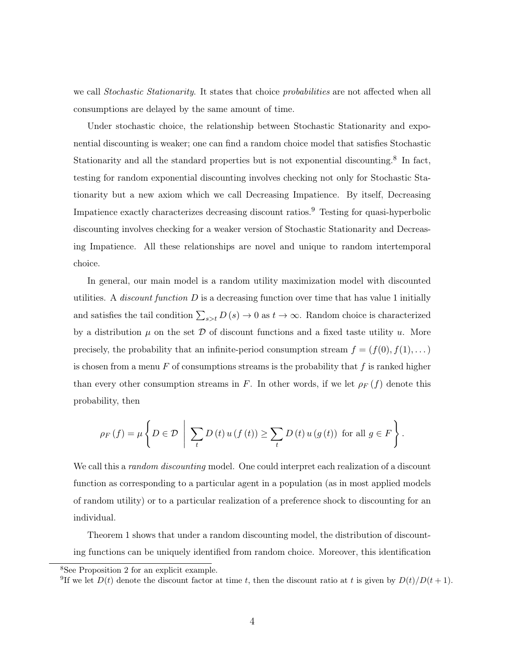we call Stochastic Stationarity. It states that choice probabilities are not affected when all consumptions are delayed by the same amount of time.

Under stochastic choice, the relationship between Stochastic Stationarity and exponential discounting is weaker; one can find a random choice model that satisfies Stochastic Stationarity and all the standard properties but is not exponential discounting.<sup>8</sup> In fact, testing for random exponential discounting involves checking not only for Stochastic Stationarity but a new axiom which we call Decreasing Impatience. By itself, Decreasing Impatience exactly characterizes decreasing discount ratios.<sup>9</sup> Testing for quasi-hyperbolic discounting involves checking for a weaker version of Stochastic Stationarity and Decreasing Impatience. All these relationships are novel and unique to random intertemporal choice.

In general, our main model is a random utility maximization model with discounted utilities. A *discount function*  $D$  is a decreasing function over time that has value 1 initially and satisfies the tail condition  $\sum_{s>t} D(s) \to 0$  as  $t \to \infty$ . Random choice is characterized by a distribution  $\mu$  on the set  $\mathcal D$  of discount functions and a fixed taste utility  $u$ . More precisely, the probability that an infinite-period consumption stream  $f = (f(0), f(1), \dots)$ is chosen from a menu  $F$  of consumptions streams is the probability that  $f$  is ranked higher than every other consumption streams in F. In other words, if we let  $\rho_F(f)$  denote this probability, then

$$
\rho_F\left(f\right) = \mu \left\{ D \in \mathcal{D} \mid \sum_t D\left(t\right) u\left(f\left(t\right)\right) \ge \sum_t D\left(t\right) u\left(g\left(t\right)\right) \text{ for all } g \in F \right\}.
$$

We call this a *random discounting* model. One could interpret each realization of a discount function as corresponding to a particular agent in a population (as in most applied models of random utility) or to a particular realization of a preference shock to discounting for an individual.

Theorem 1 shows that under a random discounting model, the distribution of discounting functions can be uniquely identified from random choice. Moreover, this identification

<sup>8</sup>See Proposition 2 for an explicit example.

<sup>&</sup>lt;sup>9</sup>If we let  $D(t)$  denote the discount factor at time t, then the discount ratio at t is given by  $D(t)/D(t+1)$ .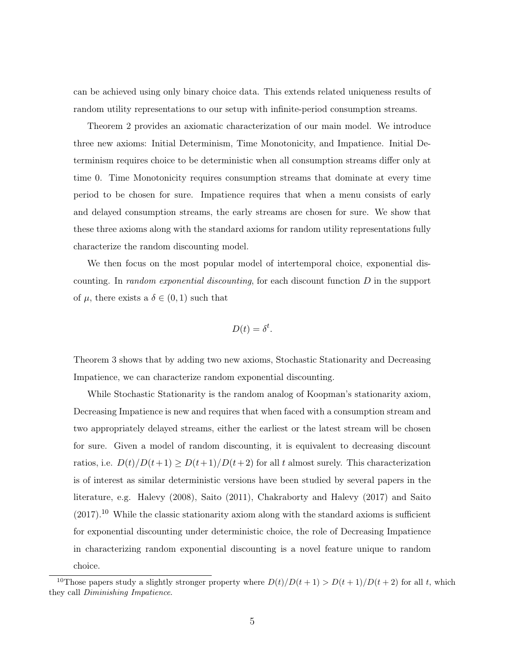can be achieved using only binary choice data. This extends related uniqueness results of random utility representations to our setup with infinite-period consumption streams.

Theorem 2 provides an axiomatic characterization of our main model. We introduce three new axioms: Initial Determinism, Time Monotonicity, and Impatience. Initial Determinism requires choice to be deterministic when all consumption streams differ only at time 0. Time Monotonicity requires consumption streams that dominate at every time period to be chosen for sure. Impatience requires that when a menu consists of early and delayed consumption streams, the early streams are chosen for sure. We show that these three axioms along with the standard axioms for random utility representations fully characterize the random discounting model.

We then focus on the most popular model of intertemporal choice, exponential discounting. In random exponential discounting, for each discount function  $D$  in the support of  $\mu$ , there exists a  $\delta \in (0,1)$  such that

$$
D(t) = \delta^t.
$$

Theorem 3 shows that by adding two new axioms, Stochastic Stationarity and Decreasing Impatience, we can characterize random exponential discounting.

While Stochastic Stationarity is the random analog of Koopman's stationarity axiom, Decreasing Impatience is new and requires that when faced with a consumption stream and two appropriately delayed streams, either the earliest or the latest stream will be chosen for sure. Given a model of random discounting, it is equivalent to decreasing discount ratios, i.e.  $D(t)/D(t+1) \ge D(t+1)/D(t+2)$  for all t almost surely. This characterization is of interest as similar deterministic versions have been studied by several papers in the literature, e.g. Halevy (2008), Saito (2011), Chakraborty and Halevy (2017) and Saito  $(2017).$ <sup>10</sup> While the classic stationarity axiom along with the standard axioms is sufficient for exponential discounting under deterministic choice, the role of Decreasing Impatience in characterizing random exponential discounting is a novel feature unique to random choice.

<sup>&</sup>lt;sup>10</sup>Those papers study a slightly stronger property where  $D(t)/D(t+1) > D(t+1)/D(t+2)$  for all t, which they call Diminishing Impatience.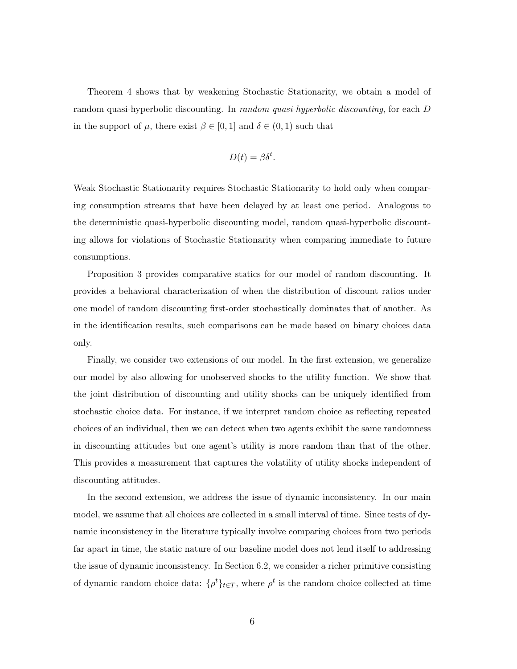Theorem 4 shows that by weakening Stochastic Stationarity, we obtain a model of random quasi-hyperbolic discounting. In random quasi-hyperbolic discounting, for each D in the support of  $\mu$ , there exist  $\beta \in [0,1]$  and  $\delta \in (0,1)$  such that

$$
D(t) = \beta \delta^t.
$$

Weak Stochastic Stationarity requires Stochastic Stationarity to hold only when comparing consumption streams that have been delayed by at least one period. Analogous to the deterministic quasi-hyperbolic discounting model, random quasi-hyperbolic discounting allows for violations of Stochastic Stationarity when comparing immediate to future consumptions.

Proposition 3 provides comparative statics for our model of random discounting. It provides a behavioral characterization of when the distribution of discount ratios under one model of random discounting first-order stochastically dominates that of another. As in the identification results, such comparisons can be made based on binary choices data only.

Finally, we consider two extensions of our model. In the first extension, we generalize our model by also allowing for unobserved shocks to the utility function. We show that the joint distribution of discounting and utility shocks can be uniquely identified from stochastic choice data. For instance, if we interpret random choice as reflecting repeated choices of an individual, then we can detect when two agents exhibit the same randomness in discounting attitudes but one agent's utility is more random than that of the other. This provides a measurement that captures the volatility of utility shocks independent of discounting attitudes.

In the second extension, we address the issue of dynamic inconsistency. In our main model, we assume that all choices are collected in a small interval of time. Since tests of dynamic inconsistency in the literature typically involve comparing choices from two periods far apart in time, the static nature of our baseline model does not lend itself to addressing the issue of dynamic inconsistency. In Section 6.2, we consider a richer primitive consisting of dynamic random choice data:  $\{\rho^t\}_{t\in T}$ , where  $\rho^t$  is the random choice collected at time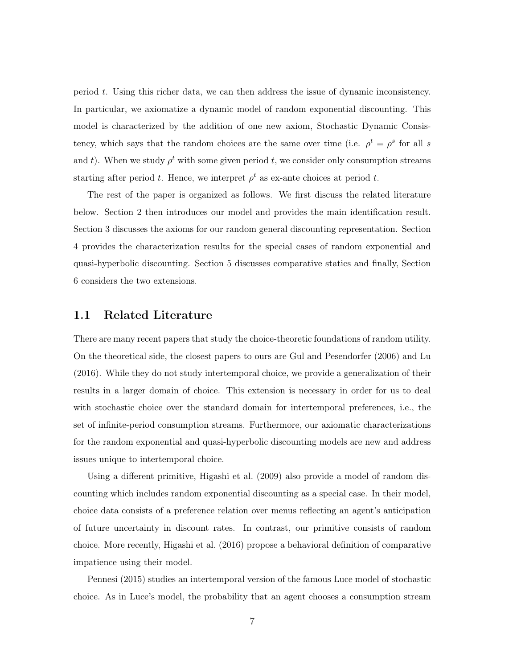period t. Using this richer data, we can then address the issue of dynamic inconsistency. In particular, we axiomatize a dynamic model of random exponential discounting. This model is characterized by the addition of one new axiom, Stochastic Dynamic Consistency, which says that the random choices are the same over time (i.e.  $\rho^t = \rho^s$  for all s and t). When we study  $\rho^t$  with some given period t, we consider only consumption streams starting after period t. Hence, we interpret  $\rho^t$  as ex-ante choices at period t.

The rest of the paper is organized as follows. We first discuss the related literature below. Section 2 then introduces our model and provides the main identification result. Section 3 discusses the axioms for our random general discounting representation. Section 4 provides the characterization results for the special cases of random exponential and quasi-hyperbolic discounting. Section 5 discusses comparative statics and finally, Section 6 considers the two extensions.

### 1.1 Related Literature

There are many recent papers that study the choice-theoretic foundations of random utility. On the theoretical side, the closest papers to ours are Gul and Pesendorfer (2006) and Lu (2016). While they do not study intertemporal choice, we provide a generalization of their results in a larger domain of choice. This extension is necessary in order for us to deal with stochastic choice over the standard domain for intertemporal preferences, i.e., the set of infinite-period consumption streams. Furthermore, our axiomatic characterizations for the random exponential and quasi-hyperbolic discounting models are new and address issues unique to intertemporal choice.

Using a different primitive, Higashi et al. (2009) also provide a model of random discounting which includes random exponential discounting as a special case. In their model, choice data consists of a preference relation over menus reflecting an agent's anticipation of future uncertainty in discount rates. In contrast, our primitive consists of random choice. More recently, Higashi et al. (2016) propose a behavioral definition of comparative impatience using their model.

Pennesi (2015) studies an intertemporal version of the famous Luce model of stochastic choice. As in Luce's model, the probability that an agent chooses a consumption stream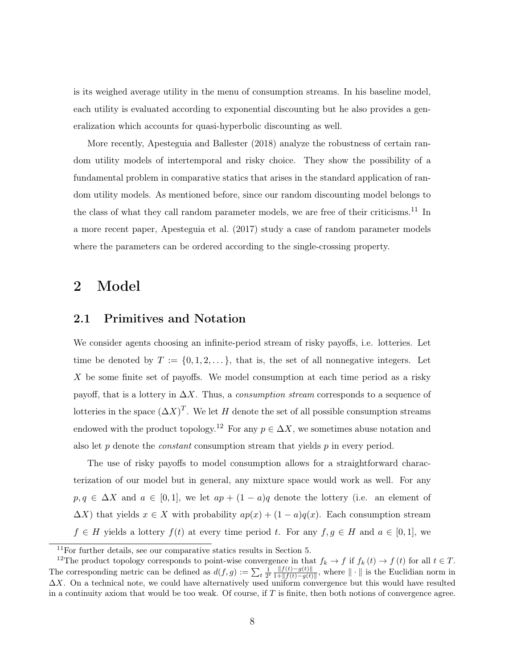is its weighed average utility in the menu of consumption streams. In his baseline model, each utility is evaluated according to exponential discounting but he also provides a generalization which accounts for quasi-hyperbolic discounting as well.

More recently, Apesteguia and Ballester (2018) analyze the robustness of certain random utility models of intertemporal and risky choice. They show the possibility of a fundamental problem in comparative statics that arises in the standard application of random utility models. As mentioned before, since our random discounting model belongs to the class of what they call random parameter models, we are free of their criticisms.<sup>11</sup> In a more recent paper, Apesteguia et al. (2017) study a case of random parameter models where the parameters can be ordered according to the single-crossing property.

# 2 Model

### 2.1 Primitives and Notation

We consider agents choosing an infinite-period stream of risky payoffs, i.e. lotteries. Let time be denoted by  $T := \{0, 1, 2, \dots\}$ , that is, the set of all nonnegative integers. Let X be some finite set of payoffs. We model consumption at each time period as a risky payoff, that is a lottery in  $\Delta X$ . Thus, a *consumption stream* corresponds to a sequence of lotteries in the space  $(\Delta X)^T$ . We let H denote the set of all possible consumption streams endowed with the product topology.<sup>12</sup> For any  $p \in \Delta X$ , we sometimes abuse notation and also let  $p$  denote the *constant* consumption stream that yields  $p$  in every period.

The use of risky payoffs to model consumption allows for a straightforward characterization of our model but in general, any mixture space would work as well. For any  $p, q \in \Delta X$  and  $a \in [0, 1]$ , we let  $ap + (1 - a)q$  denote the lottery (i.e. an element of  $\Delta X$ ) that yields  $x \in X$  with probability  $ap(x) + (1 - a)q(x)$ . Each consumption stream  $f \in H$  yields a lottery  $f(t)$  at every time period t. For any  $f, g \in H$  and  $a \in [0,1]$ , we

 $11$ For further details, see our comparative statics results in Section 5.

<sup>&</sup>lt;sup>12</sup>The product topology corresponds to point-wise convergence in that  $f_k \to f$  if  $f_k(t) \to f(t)$  for all  $t \in T$ . The corresponding metric can be defined as  $d(f,g) := \sum_{t} \frac{1}{2^t} \frac{||f(t)-g(t)||}{1+||f(t)-g(t)||}$  $\frac{\|f(t)-g(t)\|}{1+\|f(t)-g(t)\|}$ , where  $\|\cdot\|$  is the Euclidian norm in  $\Delta X$ . On a technical note, we could have alternatively used uniform convergence but this would have resulted in a continuity axiom that would be too weak. Of course, if  $T$  is finite, then both notions of convergence agree.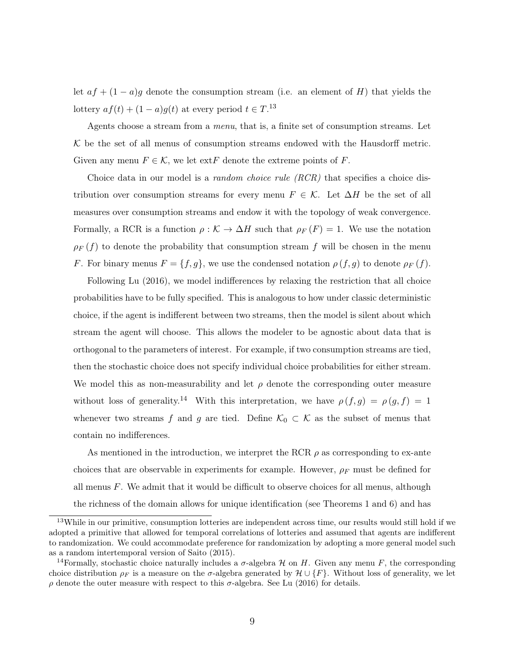let  $af + (1 - a)g$  denote the consumption stream (i.e. an element of H) that yields the lottery  $af(t) + (1 - a)g(t)$  at every period  $t \in T$ .<sup>13</sup>

Agents choose a stream from a menu, that is, a finite set of consumption streams. Let  $K$  be the set of all menus of consumption streams endowed with the Hausdorff metric. Given any menu  $F \in \mathcal{K}$ , we let ext and  $F$  denote the extreme points of  $F$ .

Choice data in our model is a *random choice rule*  $(RCR)$  that specifies a choice distribution over consumption streams for every menu  $F \in \mathcal{K}$ . Let  $\Delta H$  be the set of all measures over consumption streams and endow it with the topology of weak convergence. Formally, a RCR is a function  $\rho : \mathcal{K} \to \Delta H$  such that  $\rho_F(F) = 1$ . We use the notation  $\rho_F(f)$  to denote the probability that consumption stream f will be chosen in the menu F. For binary menus  $F = \{f, g\}$ , we use the condensed notation  $\rho(f, g)$  to denote  $\rho_F(f)$ .

Following Lu (2016), we model indifferences by relaxing the restriction that all choice probabilities have to be fully specified. This is analogous to how under classic deterministic choice, if the agent is indifferent between two streams, then the model is silent about which stream the agent will choose. This allows the modeler to be agnostic about data that is orthogonal to the parameters of interest. For example, if two consumption streams are tied, then the stochastic choice does not specify individual choice probabilities for either stream. We model this as non-measurability and let  $\rho$  denote the corresponding outer measure without loss of generality.<sup>14</sup> With this interpretation, we have  $\rho(f,g) = \rho(g,f) = 1$ whenever two streams f and g are tied. Define  $\mathcal{K}_0 \subset \mathcal{K}$  as the subset of menus that contain no indifferences.

As mentioned in the introduction, we interpret the RCR  $\rho$  as corresponding to ex-ante choices that are observable in experiments for example. However,  $\rho_F$  must be defined for all menus  $F$ . We admit that it would be difficult to observe choices for all menus, although the richness of the domain allows for unique identification (see Theorems 1 and 6) and has

<sup>13</sup>While in our primitive, consumption lotteries are independent across time, our results would still hold if we adopted a primitive that allowed for temporal correlations of lotteries and assumed that agents are indifferent to randomization. We could accommodate preference for randomization by adopting a more general model such as a random intertemporal version of Saito (2015).

<sup>&</sup>lt;sup>14</sup>Formally, stochastic choice naturally includes a  $\sigma$ -algebra H on H. Given any menu F, the corresponding choice distribution  $\rho_F$  is a measure on the  $\sigma$ -algebra generated by  $\mathcal{H} \cup \{F\}$ . Without loss of generality, we let ρ denote the outer measure with respect to this σ-algebra. See Lu (2016) for details.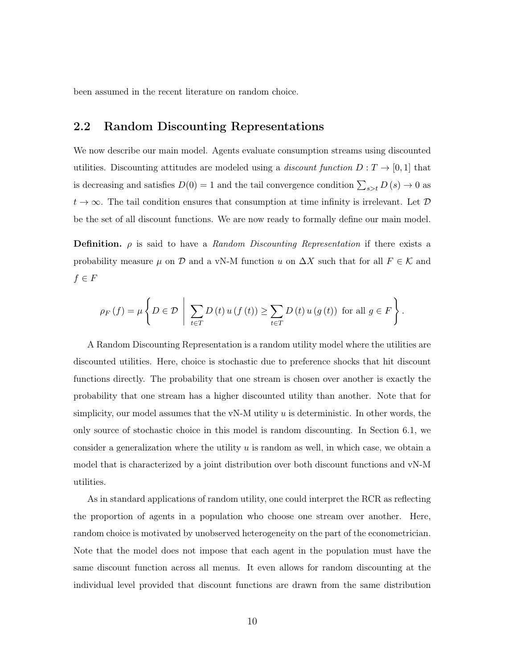been assumed in the recent literature on random choice.

## 2.2 Random Discounting Representations

We now describe our main model. Agents evaluate consumption streams using discounted utilities. Discounting attitudes are modeled using a *discount function*  $D: T \to [0,1]$  that is decreasing and satisfies  $D(0) = 1$  and the tail convergence condition  $\sum_{s>t} D(s) \to 0$  as  $t \to \infty$ . The tail condition ensures that consumption at time infinity is irrelevant. Let  $\mathcal{D}$ be the set of all discount functions. We are now ready to formally define our main model.

**Definition.**  $\rho$  is said to have a Random Discounting Representation if there exists a probability measure  $\mu$  on  $\mathcal D$  and a vN-M function u on  $\Delta X$  such that for all  $F \in \mathcal K$  and  $f \in F$ 

$$
\rho_F\left(f\right) = \mu \left\{ D \in \mathcal{D} \mid \sum_{t \in T} D\left(t\right) u\left(f\left(t\right)\right) \ge \sum_{t \in T} D\left(t\right) u\left(g\left(t\right)\right) \text{ for all } g \in F \right\}.
$$

A Random Discounting Representation is a random utility model where the utilities are discounted utilities. Here, choice is stochastic due to preference shocks that hit discount functions directly. The probability that one stream is chosen over another is exactly the probability that one stream has a higher discounted utility than another. Note that for simplicity, our model assumes that the vN-M utility  $u$  is deterministic. In other words, the only source of stochastic choice in this model is random discounting. In Section 6.1, we consider a generalization where the utility  $u$  is random as well, in which case, we obtain a model that is characterized by a joint distribution over both discount functions and vN-M utilities.

As in standard applications of random utility, one could interpret the RCR as reflecting the proportion of agents in a population who choose one stream over another. Here, random choice is motivated by unobserved heterogeneity on the part of the econometrician. Note that the model does not impose that each agent in the population must have the same discount function across all menus. It even allows for random discounting at the individual level provided that discount functions are drawn from the same distribution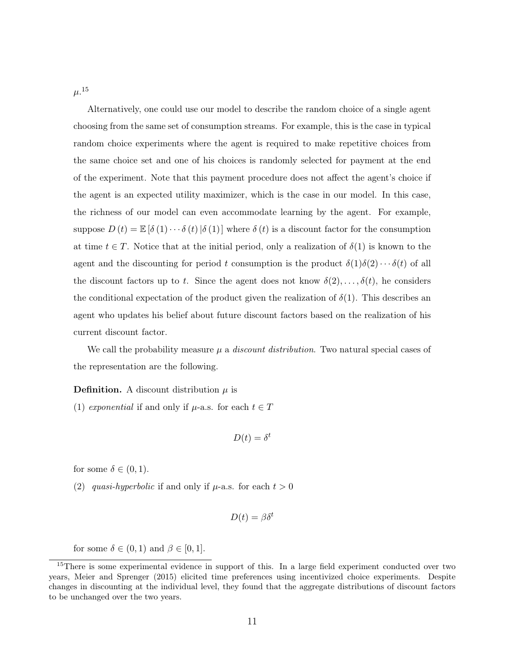$\mu .^{15}$ 

Alternatively, one could use our model to describe the random choice of a single agent choosing from the same set of consumption streams. For example, this is the case in typical random choice experiments where the agent is required to make repetitive choices from the same choice set and one of his choices is randomly selected for payment at the end of the experiment. Note that this payment procedure does not affect the agent's choice if the agent is an expected utility maximizer, which is the case in our model. In this case, the richness of our model can even accommodate learning by the agent. For example, suppose  $D(t) = \mathbb{E} [\delta(1) \cdots \delta(t) | \delta(1)]$  where  $\delta(t)$  is a discount factor for the consumption at time  $t \in T$ . Notice that at the initial period, only a realization of  $\delta(1)$  is known to the agent and the discounting for period t consumption is the product  $\delta(1)\delta(2)\cdots\delta(t)$  of all the discount factors up to t. Since the agent does not know  $\delta(2), \ldots, \delta(t)$ , he considers the conditional expectation of the product given the realization of  $\delta(1)$ . This describes an agent who updates his belief about future discount factors based on the realization of his current discount factor.

We call the probability measure  $\mu$  a *discount distribution*. Two natural special cases of the representation are the following.

**Definition.** A discount distribution  $\mu$  is

(1) exponential if and only if  $\mu$ -a.s. for each  $t \in T$ 

$$
D(t) = \delta^t
$$

for some  $\delta \in (0,1)$ .

(2) quasi-hyperbolic if and only if  $\mu$ -a.s. for each  $t > 0$ 

$$
D(t) = \beta \delta^t
$$

for some  $\delta \in (0,1)$  and  $\beta \in [0,1]$ .

<sup>15</sup>There is some experimental evidence in support of this. In a large field experiment conducted over two years, Meier and Sprenger (2015) elicited time preferences using incentivized choice experiments. Despite changes in discounting at the individual level, they found that the aggregate distributions of discount factors to be unchanged over the two years.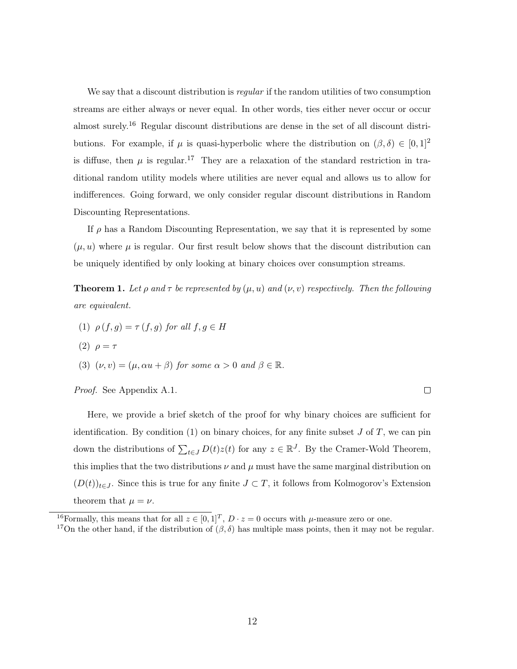We say that a discount distribution is *regular* if the random utilities of two consumption streams are either always or never equal. In other words, ties either never occur or occur almost surely.<sup>16</sup> Regular discount distributions are dense in the set of all discount distributions. For example, if  $\mu$  is quasi-hyperbolic where the distribution on  $(\beta, \delta) \in [0, 1]^2$ is diffuse, then  $\mu$  is regular.<sup>17</sup> They are a relaxation of the standard restriction in traditional random utility models where utilities are never equal and allows us to allow for indifferences. Going forward, we only consider regular discount distributions in Random Discounting Representations.

If  $\rho$  has a Random Discounting Representation, we say that it is represented by some  $(\mu, u)$  where  $\mu$  is regular. Our first result below shows that the discount distribution can be uniquely identified by only looking at binary choices over consumption streams.

**Theorem 1.** Let  $\rho$  and  $\tau$  be represented by  $(\mu, u)$  and  $(\nu, v)$  respectively. Then the following are equivalent.

(1)  $\rho(f, g) = \tau(f, g)$  for all  $f, g \in H$ (2)  $\rho = \tau$ (3)  $(\nu, v) = (\mu, \alpha u + \beta)$  for some  $\alpha > 0$  and  $\beta \in \mathbb{R}$ . Proof. See Appendix A.1.  $\Box$ 

Here, we provide a brief sketch of the proof for why binary choices are sufficient for identification. By condition  $(1)$  on binary choices, for any finite subset J of T, we can pin down the distributions of  $\sum_{t\in J} D(t)z(t)$  for any  $z \in \mathbb{R}^J$ . By the Cramer-Wold Theorem, this implies that the two distributions  $\nu$  and  $\mu$  must have the same marginal distribution on  $(D(t))_{t\in J}$ . Since this is true for any finite  $J\subset T$ , it follows from Kolmogorov's Extension theorem that  $\mu = \nu$ .

<sup>&</sup>lt;sup>16</sup>Formally, this means that for all  $z \in [0,1]^T$ ,  $D \cdot z = 0$  occurs with  $\mu$ -measure zero or one.

<sup>&</sup>lt;sup>17</sup>On the other hand, if the distribution of  $(\beta, \delta)$  has multiple mass points, then it may not be regular.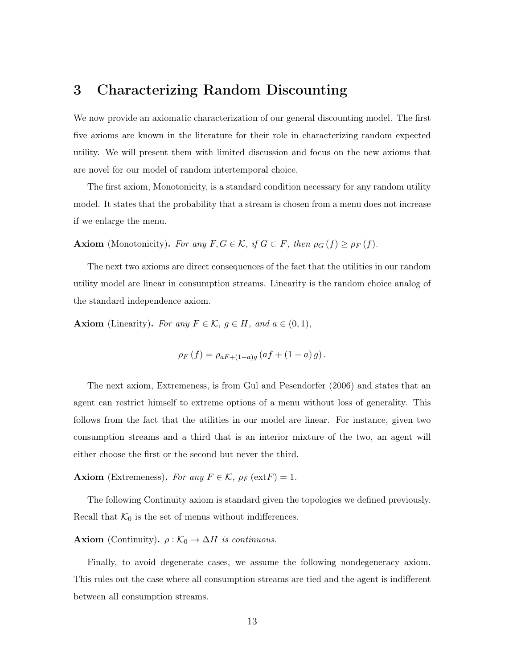# 3 Characterizing Random Discounting

We now provide an axiomatic characterization of our general discounting model. The first five axioms are known in the literature for their role in characterizing random expected utility. We will present them with limited discussion and focus on the new axioms that are novel for our model of random intertemporal choice.

The first axiom, Monotonicity, is a standard condition necessary for any random utility model. It states that the probability that a stream is chosen from a menu does not increase if we enlarge the menu.

**Axiom** (Monotonicity). For any  $F, G \in \mathcal{K}$ , if  $G \subset F$ , then  $\rho_G(f) \ge \rho_F(f)$ .

The next two axioms are direct consequences of the fact that the utilities in our random utility model are linear in consumption streams. Linearity is the random choice analog of the standard independence axiom.

**Axiom** (Linearity). For any  $F \in \mathcal{K}$ ,  $g \in H$ , and  $a \in (0,1)$ ,

$$
\rho_F(f) = \rho_{aF + (1-a)g} (af + (1-a) g).
$$

The next axiom, Extremeness, is from Gul and Pesendorfer (2006) and states that an agent can restrict himself to extreme options of a menu without loss of generality. This follows from the fact that the utilities in our model are linear. For instance, given two consumption streams and a third that is an interior mixture of the two, an agent will either choose the first or the second but never the third.

**Axiom** (Extremeness). For any  $F \in \mathcal{K}$ ,  $\rho_F(\text{ext}F) = 1$ .

The following Continuity axiom is standard given the topologies we defined previously. Recall that  $\mathcal{K}_0$  is the set of menus without indifferences.

**Axiom** (Continuity).  $\rho : \mathcal{K}_0 \to \Delta H$  is continuous.

Finally, to avoid degenerate cases, we assume the following nondegeneracy axiom. This rules out the case where all consumption streams are tied and the agent is indifferent between all consumption streams.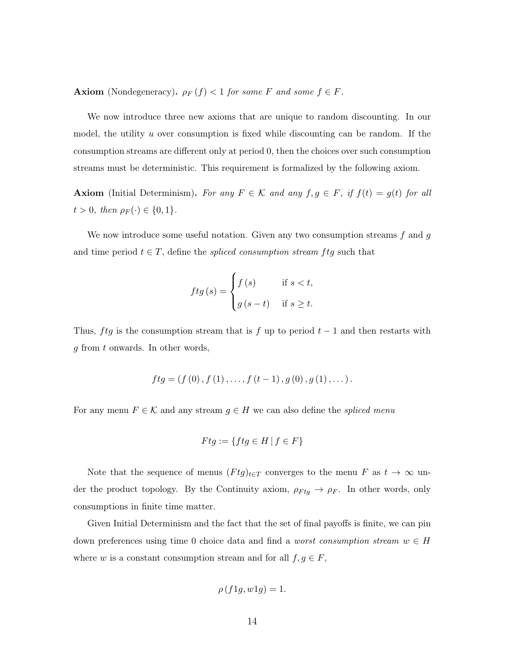**Axiom** (Nondegeneracy).  $\rho_F(f) < 1$  for some F and some  $f \in F$ .

We now introduce three new axioms that are unique to random discounting. In our model, the utility  $u$  over consumption is fixed while discounting can be random. If the consumption streams are different only at period 0, then the choices over such consumption streams must be deterministic. This requirement is formalized by the following axiom.

Axiom (Initial Determinism). For any  $F \in \mathcal{K}$  and any  $f, g \in F$ , if  $f(t) = g(t)$  for all  $t > 0$ , then  $\rho_F(\cdot) \in \{0, 1\}.$ 

We now introduce some useful notation. Given any two consumption streams  $f$  and  $g$ and time period  $t \in T$ , define the spliced consumption stream ftg such that

$$
ftg(s) = \begin{cases} f(s) & \text{if } s < t, \\ g(s-t) & \text{if } s \ge t. \end{cases}
$$

Thus, ftg is the consumption stream that is f up to period  $t-1$  and then restarts with g from t onwards. In other words,

$$
ftg = (f(0), f(1), \ldots, f(t-1), g(0), g(1), \ldots).
$$

For any menu  $F \in \mathcal{K}$  and any stream  $g \in H$  we can also define the *spliced menu* 

$$
Ftg := \{ ftg \in H \mid f \in F \}
$$

Note that the sequence of menus  $(Ftg)_{t\in T}$  converges to the menu F as  $t \to \infty$  under the product topology. By the Continuity axiom,  $\rho_{Ftg} \rightarrow \rho_F$ . In other words, only consumptions in finite time matter.

Given Initial Determinism and the fact that the set of final payoffs is finite, we can pin down preferences using time 0 choice data and find a *worst consumption stream*  $w \in H$ where w is a constant consumption stream and for all  $f, g \in F$ ,

$$
\rho(f1g, w1g) = 1.
$$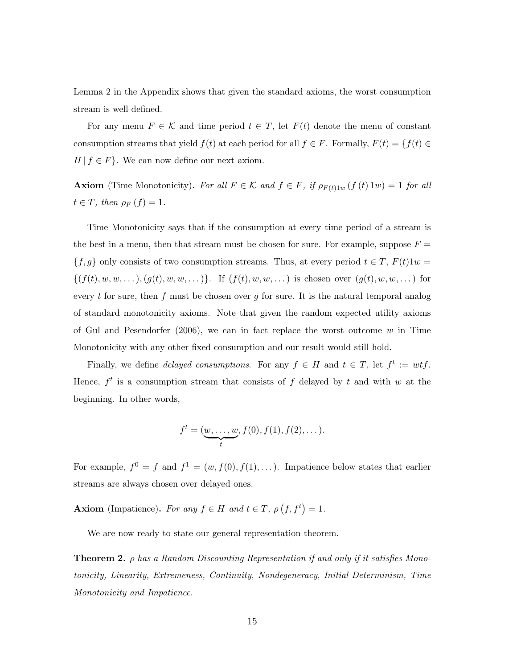Lemma 2 in the Appendix shows that given the standard axioms, the worst consumption stream is well-defined.

For any menu  $F \in \mathcal{K}$  and time period  $t \in T$ , let  $F(t)$  denote the menu of constant consumption streams that yield  $f(t)$  at each period for all  $f \in F$ . Formally,  $F(t) = \{f(t) \in$  $H | f \in F$ . We can now define our next axiom.

**Axiom** (Time Monotonicity). For all  $F \in \mathcal{K}$  and  $f \in F$ , if  $\rho_{F(t)1w}(f(t)1w) = 1$  for all  $t \in T$ , then  $\rho_F(f) = 1$ .

Time Monotonicity says that if the consumption at every time period of a stream is the best in a menu, then that stream must be chosen for sure. For example, suppose  $F =$  ${f, g}$  only consists of two consumption streams. Thus, at every period  $t \in T$ ,  $F(t)1w =$  $\{(f(t), w, w, \dots), (g(t), w, w, \dots)\}.$  If  $(f(t), w, w, \dots)$  is chosen over  $(g(t), w, w, \dots)$  for every t for sure, then f must be chosen over g for sure. It is the natural temporal analog of standard monotonicity axioms. Note that given the random expected utility axioms of Gul and Pesendorfer (2006), we can in fact replace the worst outcome  $w$  in Time Monotonicity with any other fixed consumption and our result would still hold.

Finally, we define *delayed consumptions*. For any  $f \in H$  and  $t \in T$ , let  $f^t := wt f$ . Hence,  $f^t$  is a consumption stream that consists of f delayed by t and with w at the beginning. In other words,

$$
f^t = (\underbrace{w, \ldots, w}_{t}, f(0), f(1), f(2), \ldots).
$$

For example,  $f^0 = f$  and  $f^1 = (w, f(0), f(1), \dots)$ . Impatience below states that earlier streams are always chosen over delayed ones.

**Axiom** (Impatience). For any  $f \in H$  and  $t \in T$ ,  $\rho(f, f^t) = 1$ .

We are now ready to state our general representation theorem.

**Theorem 2.**  $\rho$  has a Random Discounting Representation if and only if it satisfies Monotonicity, Linearity, Extremeness, Continuity, Nondegeneracy, Initial Determinism, Time Monotonicity and Impatience.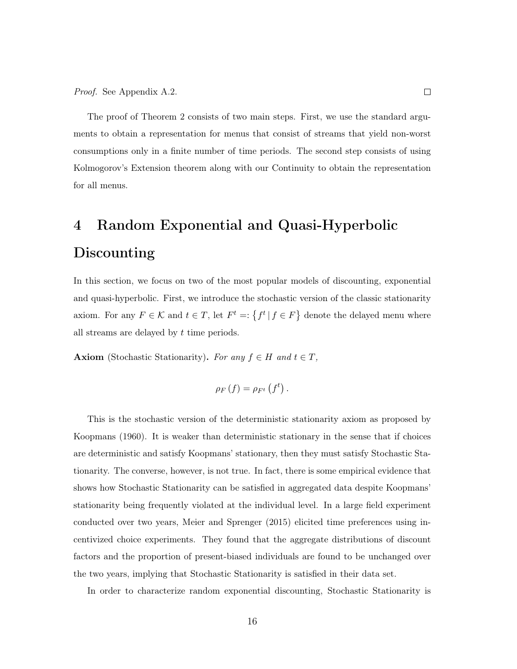The proof of Theorem 2 consists of two main steps. First, we use the standard arguments to obtain a representation for menus that consist of streams that yield non-worst consumptions only in a finite number of time periods. The second step consists of using Kolmogorov's Extension theorem along with our Continuity to obtain the representation for all menus.

# 4 Random Exponential and Quasi-Hyperbolic Discounting

In this section, we focus on two of the most popular models of discounting, exponential and quasi-hyperbolic. First, we introduce the stochastic version of the classic stationarity axiom. For any  $F \in \mathcal{K}$  and  $t \in T$ , let  $F^t = \{f^t | f \in F\}$  denote the delayed menu where all streams are delayed by  $t$  time periods.

**Axiom** (Stochastic Stationarity). For any  $f \in H$  and  $t \in T$ ,

$$
\rho_F\left(f\right) = \rho_{F^t}\left(f^t\right).
$$

This is the stochastic version of the deterministic stationarity axiom as proposed by Koopmans (1960). It is weaker than deterministic stationary in the sense that if choices are deterministic and satisfy Koopmans' stationary, then they must satisfy Stochastic Stationarity. The converse, however, is not true. In fact, there is some empirical evidence that shows how Stochastic Stationarity can be satisfied in aggregated data despite Koopmans' stationarity being frequently violated at the individual level. In a large field experiment conducted over two years, Meier and Sprenger (2015) elicited time preferences using incentivized choice experiments. They found that the aggregate distributions of discount factors and the proportion of present-biased individuals are found to be unchanged over the two years, implying that Stochastic Stationarity is satisfied in their data set.

In order to characterize random exponential discounting, Stochastic Stationarity is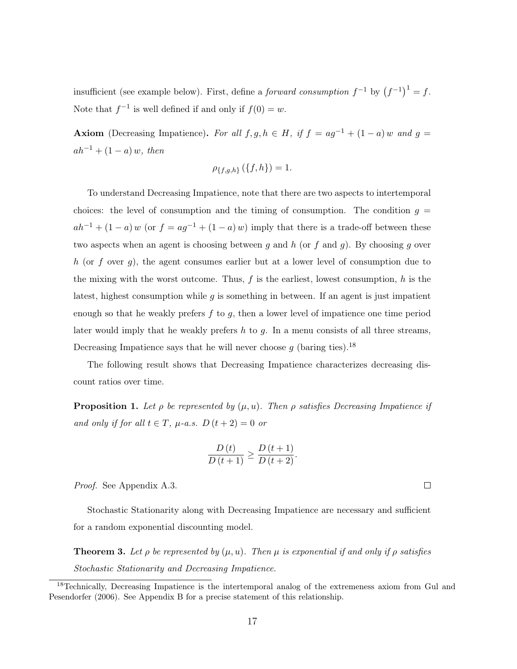insufficient (see example below). First, define a *forward consumption*  $f^{-1}$  by  $(f^{-1})^1 = f$ . Note that  $f^{-1}$  is well defined if and only if  $f(0) = w$ .

Axiom (Decreasing Impatience). For all f, g,  $h \in H$ , if  $f = ag^{-1} + (1 - a) w$  and  $g =$  $ah^{-1} + (1 - a) w$ , then

$$
\rho_{\{f,g,h\}}\left(\{f,h\}\right) = 1.
$$

To understand Decreasing Impatience, note that there are two aspects to intertemporal choices: the level of consumption and the timing of consumption. The condition  $g =$  $ah^{-1} + (1 - a) w$  (or  $f = ag^{-1} + (1 - a) w$ ) imply that there is a trade-off between these two aspects when an agent is choosing between g and h (or f and g). By choosing g over h (or f over g), the agent consumes earlier but at a lower level of consumption due to the mixing with the worst outcome. Thus,  $f$  is the earliest, lowest consumption,  $h$  is the latest, highest consumption while  $g$  is something in between. If an agent is just impatient enough so that he weakly prefers  $f$  to  $g$ , then a lower level of impatience one time period later would imply that he weakly prefers  $h$  to  $g$ . In a menu consists of all three streams, Decreasing Impatience says that he will never choose  $g$  (baring ties).<sup>18</sup>

The following result shows that Decreasing Impatience characterizes decreasing discount ratios over time.

**Proposition 1.** Let  $\rho$  be represented by  $(\mu, u)$ . Then  $\rho$  satisfies Decreasing Impatience if and only if for all  $t \in T$ ,  $\mu$ -a.s.  $D(t+2) = 0$  or

$$
\frac{D(t)}{D(t+1)} \ge \frac{D(t+1)}{D(t+2)}.
$$

Proof. See Appendix A.3.

Stochastic Stationarity along with Decreasing Impatience are necessary and sufficient for a random exponential discounting model.

**Theorem 3.** Let  $\rho$  be represented by  $(\mu, u)$ . Then  $\mu$  is exponential if and only if  $\rho$  satisfies Stochastic Stationarity and Decreasing Impatience.

 $\Box$ 

<sup>&</sup>lt;sup>18</sup>Technically, Decreasing Impatience is the intertemporal analog of the extremeness axiom from Gul and Pesendorfer (2006). See Appendix B for a precise statement of this relationship.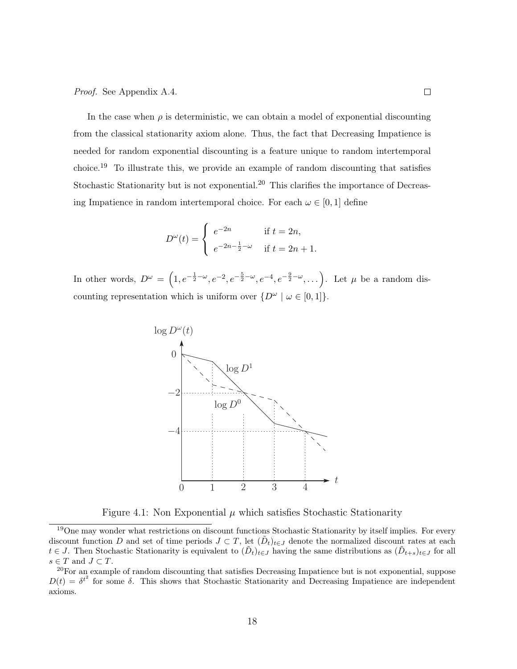Proof. See Appendix A.4.

In the case when  $\rho$  is deterministic, we can obtain a model of exponential discounting from the classical stationarity axiom alone. Thus, the fact that Decreasing Impatience is needed for random exponential discounting is a feature unique to random intertemporal choice.<sup>19</sup> To illustrate this, we provide an example of random discounting that satisfies Stochastic Stationarity but is not exponential.<sup>20</sup> This clarifies the importance of Decreasing Impatience in random intertemporal choice. For each  $\omega \in [0, 1]$  define

$$
D^{\omega}(t) = \begin{cases} e^{-2n} & \text{if } t = 2n, \\ e^{-2n - \frac{1}{2} - \omega} & \text{if } t = 2n + 1. \end{cases}
$$

In other words,  $D^{\omega} = (1, e^{-\frac{1}{2}-\omega}, e^{-2}, e^{-\frac{5}{2}-\omega}, e^{-4}, e^{-\frac{9}{2}-\omega}, \dots)$ . Let  $\mu$  be a random discounting representation which is uniform over  $\{D^{\omega} \mid \omega \in [0,1]\}.$ 



Figure 4.1: Non Exponential  $\mu$  which satisfies Stochastic Stationarity

<sup>&</sup>lt;sup>19</sup>One may wonder what restrictions on discount functions Stochastic Stationarity by itself implies. For every discount function D and set of time periods  $J \subset T$ , let  $(\tilde{D}_t)_{t \in J}$  denote the normalized discount rates at each  $t \in J$ . Then Stochastic Stationarity is equivalent to  $(\tilde{D}_t)_{t \in J}$  having the same distributions as  $(\tilde{D}_{t+s})_{t \in J}$  for all  $s\in T$  and  $J\subset T.$ 

<sup>&</sup>lt;sup>20</sup>For an example of random discounting that satisfies Decreasing Impatience but is not exponential, suppose  $D(t) = \delta^{t^2}$  for some  $\delta$ . This shows that Stochastic Stationarity and Decreasing Impatience are independent axioms.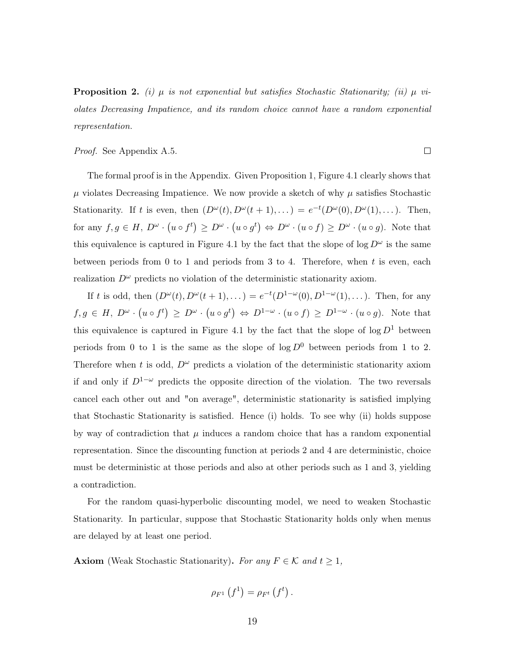**Proposition 2.** (i)  $\mu$  is not exponential but satisfies Stochastic Stationarity; (ii)  $\mu$  violates Decreasing Impatience, and its random choice cannot have a random exponential representation.

Proof. See Appendix A.5.

The formal proof is in the Appendix. Given Proposition 1, Figure 4.1 clearly shows that  $\mu$  violates Decreasing Impatience. We now provide a sketch of why  $\mu$  satisfies Stochastic Stationarity. If t is even, then  $(D^{\omega}(t), D^{\omega}(t+1), ...) = e^{-t}(D^{\omega}(0), D^{\omega}(1), ...)$ . Then, for any  $f, g \in H$ ,  $D^{\omega} \cdot (u \circ f^t) \ge D^{\omega} \cdot (u \circ g^t) \Leftrightarrow D^{\omega} \cdot (u \circ f) \ge D^{\omega} \cdot (u \circ g)$ . Note that this equivalence is captured in Figure 4.1 by the fact that the slope of  $\log D^{\omega}$  is the same between periods from 0 to 1 and periods from 3 to 4. Therefore, when t is even, each realization  $D^{\omega}$  predicts no violation of the deterministic stationarity axiom.

If t is odd, then  $(D^{\omega}(t), D^{\omega}(t+1), ...) = e^{-t}(D^{1-\omega}(0), D^{1-\omega}(1), ...)$ . Then, for any  $f, g \in H$ ,  $D^{\omega} \cdot (u \circ f^t) \ge D^{\omega} \cdot (u \circ g^t) \Leftrightarrow D^{1-\omega} \cdot (u \circ f) \ge D^{1-\omega} \cdot (u \circ g)$ . Note that this equivalence is captured in Figure 4.1 by the fact that the slope of  $\log D^1$  between periods from 0 to 1 is the same as the slope of  $\log D^0$  between periods from 1 to 2. Therefore when t is odd,  $D^{\omega}$  predicts a violation of the deterministic stationarity axiom if and only if  $D^{1-\omega}$  predicts the opposite direction of the violation. The two reversals cancel each other out and "on average", deterministic stationarity is satisfied implying that Stochastic Stationarity is satisfied. Hence (i) holds. To see why (ii) holds suppose by way of contradiction that  $\mu$  induces a random choice that has a random exponential representation. Since the discounting function at periods 2 and 4 are deterministic, choice must be deterministic at those periods and also at other periods such as 1 and 3, yielding a contradiction.

For the random quasi-hyperbolic discounting model, we need to weaken Stochastic Stationarity. In particular, suppose that Stochastic Stationarity holds only when menus are delayed by at least one period.

**Axiom** (Weak Stochastic Stationarity). For any  $F \in \mathcal{K}$  and  $t \geq 1$ ,

$$
\rho_{F^1}\left(f^1\right) = \rho_{F^t}\left(f^t\right).
$$

 $\Box$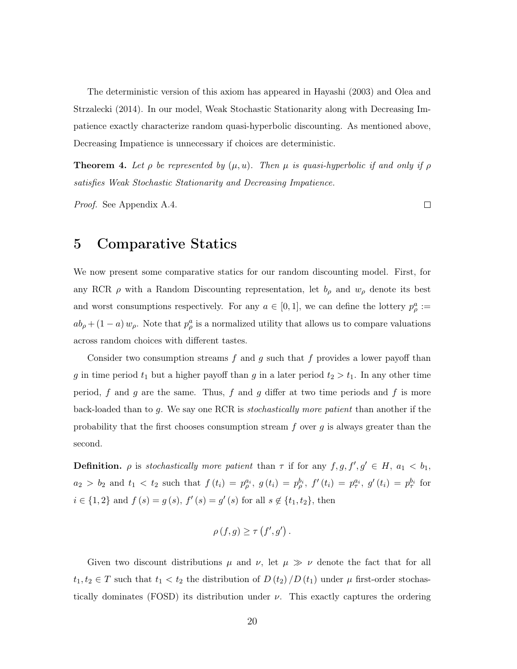The deterministic version of this axiom has appeared in Hayashi (2003) and Olea and Strzalecki (2014). In our model, Weak Stochastic Stationarity along with Decreasing Impatience exactly characterize random quasi-hyperbolic discounting. As mentioned above, Decreasing Impatience is unnecessary if choices are deterministic.

**Theorem 4.** Let  $\rho$  be represented by  $(\mu, u)$ . Then  $\mu$  is quasi-hyperbolic if and only if  $\rho$ satisfies Weak Stochastic Stationarity and Decreasing Impatience.

Proof. See Appendix A.4.

 $\Box$ 

# 5 Comparative Statics

We now present some comparative statics for our random discounting model. First, for any RCR  $\rho$  with a Random Discounting representation, let  $b_{\rho}$  and  $w_{\rho}$  denote its best and worst consumptions respectively. For any  $a \in [0,1]$ , we can define the lottery  $p^a_\rho :=$  $ab_{\rho} + (1 - a) w_{\rho}$ . Note that  $p_{\rho}^{a}$  is a normalized utility that allows us to compare valuations across random choices with different tastes.

Consider two consumption streams  $f$  and  $g$  such that  $f$  provides a lower payoff than g in time period  $t_1$  but a higher payoff than g in a later period  $t_2 > t_1$ . In any other time period, f and g are the same. Thus, f and g differ at two time periods and f is more back-loaded than to g. We say one RCR is stochastically more patient than another if the probability that the first chooses consumption stream  $f$  over  $g$  is always greater than the second.

**Definition.**  $\rho$  is stochastically more patient than  $\tau$  if for any  $f, g, f', g' \in H$ ,  $a_1 < b_1$ ,  $a_2 > b_2$  and  $t_1 < t_2$  such that  $f(t_i) = p_\rho^{a_i}, g(t_i) = p_\rho^{b_i}, f'(t_i) = p_\tau^{a_i}, g'(t_i) = p_\tau^{b_i}$  for  $i \in \{1,2\}$  and  $f(s) = g(s)$ ,  $f'(s) = g'(s)$  for all  $s \notin \{t_1, t_2\}$ , then

$$
\rho(f,g) \geq \tau(f',g') .
$$

Given two discount distributions  $\mu$  and  $\nu$ , let  $\mu \gg \nu$  denote the fact that for all  $t_1, t_2 \in T$  such that  $t_1 < t_2$  the distribution of  $D(t_2) / D(t_1)$  under  $\mu$  first-order stochastically dominates (FOSD) its distribution under  $\nu$ . This exactly captures the ordering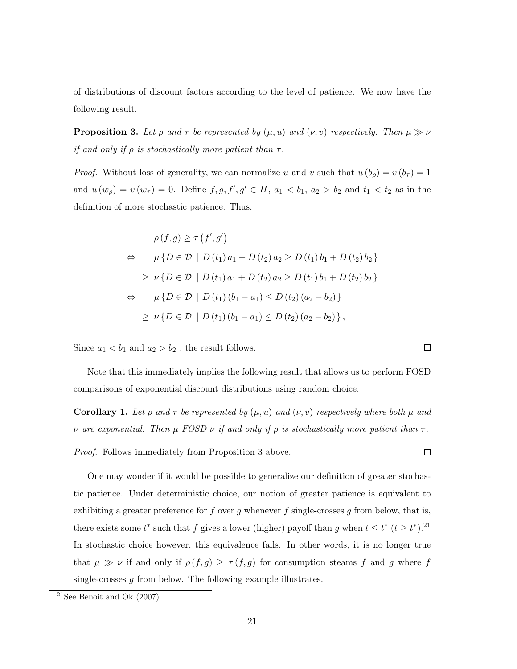of distributions of discount factors according to the level of patience. We now have the following result.

**Proposition 3.** Let  $\rho$  and  $\tau$  be represented by  $(\mu, u)$  and  $(\nu, v)$  respectively. Then  $\mu \gg \nu$ if and only if  $\rho$  is stochastically more patient than  $\tau$ .

*Proof.* Without loss of generality, we can normalize u and v such that  $u(b_\rho) = v(b_\tau) = 1$ and  $u(w_{\rho}) = v(w_{\tau}) = 0$ . Define  $f, g, f', g' \in H$ ,  $a_1 < b_1$ ,  $a_2 > b_2$  and  $t_1 < t_2$  as in the definition of more stochastic patience. Thus,

$$
\rho(f,g) \geq \tau(f',g')
$$
  
\n
$$
\Leftrightarrow \mu\{D \in \mathcal{D} \mid D(t_1) a_1 + D(t_2) a_2 \geq D(t_1) b_1 + D(t_2) b_2\}
$$
  
\n
$$
\geq \nu\{D \in \mathcal{D} \mid D(t_1) a_1 + D(t_2) a_2 \geq D(t_1) b_1 + D(t_2) b_2\}
$$
  
\n
$$
\Leftrightarrow \mu\{D \in \mathcal{D} \mid D(t_1) (b_1 - a_1) \leq D(t_2) (a_2 - b_2)\}
$$
  
\n
$$
\geq \nu\{D \in \mathcal{D} \mid D(t_1) (b_1 - a_1) \leq D(t_2) (a_2 - b_2)\},
$$

Since  $a_1 < b_1$  and  $a_2 > b_2$ , the result follows.

Note that this immediately implies the following result that allows us to perform FOSD comparisons of exponential discount distributions using random choice.

**Corollary 1.** Let  $\rho$  and  $\tau$  be represented by  $(\mu, u)$  and  $(\nu, v)$  respectively where both  $\mu$  and ν are exponential. Then  $\mu$  FOSD  $\nu$  if and only if  $\rho$  is stochastically more patient than  $\tau$ .

Proof. Follows immediately from Proposition 3 above.

One may wonder if it would be possible to generalize our definition of greater stochastic patience. Under deterministic choice, our notion of greater patience is equivalent to exhibiting a greater preference for  $f$  over  $g$  whenever  $f$  single-crosses  $g$  from below, that is, there exists some  $t^*$  such that f gives a lower (higher) payoff than g when  $t \leq t^*$  ( $t \geq t^*$ ).<sup>21</sup> In stochastic choice however, this equivalence fails. In other words, it is no longer true that  $\mu \gg \nu$  if and only if  $\rho(f,g) \geq \tau(f,g)$  for consumption steams f and g where f single-crosses  $g$  from below. The following example illustrates.

 $\Box$ 

 $\Box$ 

 $21$ See Benoit and Ok (2007).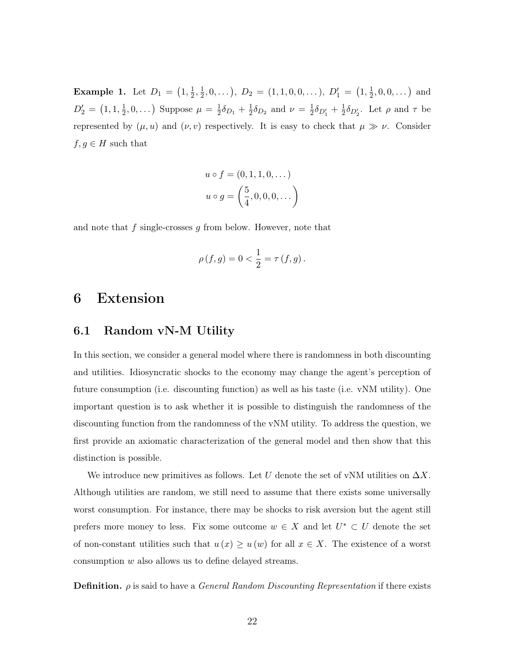**Example 1.** Let  $D_1 = (1, \frac{1}{2})$  $\frac{1}{2}, \frac{1}{2}$  $(\frac{1}{2}, 0, \ldots), D_2 = (1, 1, 0, 0, \ldots), D'_1 = (1, \frac{1}{2})$  $(\frac{1}{2}, 0, 0, \dots)$  and  $D_2' \,=\, \big(1,1,\tfrac{1}{2}$  $(\frac{1}{2}, 0, \dots)$  Suppose  $\mu = \frac{1}{2}$  $\frac{1}{2}\delta_{D_1} + \frac{1}{2}$  $\frac{1}{2}\delta_{D_2}$  and  $\nu = \frac{1}{2}$  $\frac{1}{2}\delta_{D'_1}+\frac{1}{2}$  $\frac{1}{2}\delta_{D_2'}$ . Let  $\rho$  and  $\tau$  be represented by  $(\mu, u)$  and  $(\nu, v)$  respectively. It is easy to check that  $\mu \gg \nu$ . Consider  $f, g \in H$  such that

$$
u \circ f = (0, 1, 1, 0, ...)
$$
  
 $u \circ g = \left(\frac{5}{4}, 0, 0, 0, ... \right)$ 

and note that  $f$  single-crosses  $g$  from below. However, note that

$$
\rho(f,g) = 0 < \frac{1}{2} = \tau(f,g).
$$

# 6 Extension

### 6.1 Random vN-M Utility

In this section, we consider a general model where there is randomness in both discounting and utilities. Idiosyncratic shocks to the economy may change the agent's perception of future consumption (i.e. discounting function) as well as his taste (i.e. vNM utility). One important question is to ask whether it is possible to distinguish the randomness of the discounting function from the randomness of the vNM utility. To address the question, we first provide an axiomatic characterization of the general model and then show that this distinction is possible.

We introduce new primitives as follows. Let U denote the set of vNM utilities on  $\Delta X$ . Although utilities are random, we still need to assume that there exists some universally worst consumption. For instance, there may be shocks to risk aversion but the agent still prefers more money to less. Fix some outcome  $w \in X$  and let  $U^* \subset U$  denote the set of non-constant utilities such that  $u(x) \geq u(w)$  for all  $x \in X$ . The existence of a worst consumption w also allows us to define delayed streams.

**Definition.**  $\rho$  is said to have a *General Random Discounting Representation* if there exists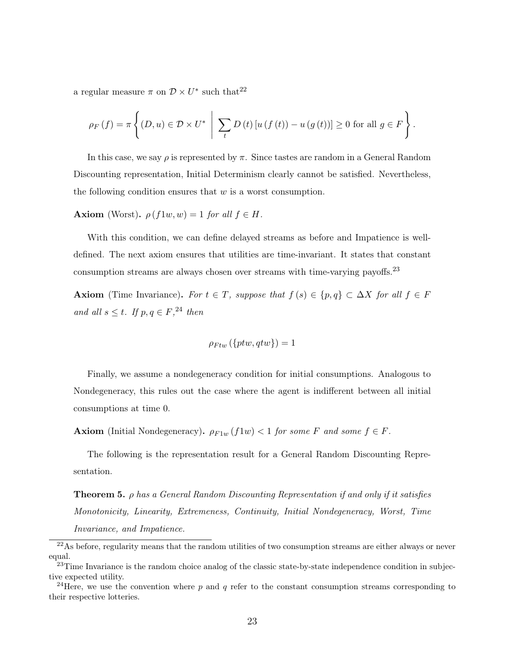a regular measure  $\pi$  on  $\mathcal{D} \times U^*$  such that<sup>22</sup>

$$
\rho_F(f) = \pi \left\{ (D, u) \in \mathcal{D} \times U^* \middle| \sum_t D(t) \left[ u(f(t)) - u(g(t)) \right] \ge 0 \text{ for all } g \in F \right\}.
$$

In this case, we say  $\rho$  is represented by  $\pi$ . Since tastes are random in a General Random Discounting representation, Initial Determinism clearly cannot be satisfied. Nevertheless, the following condition ensures that  $w$  is a worst consumption.

Axiom (Worst).  $\rho(f_1w, w) = 1$  for all  $f \in H$ .

With this condition, we can define delayed streams as before and Impatience is welldefined. The next axiom ensures that utilities are time-invariant. It states that constant consumption streams are always chosen over streams with time-varying payoffs.<sup>23</sup>

Axiom (Time Invariance). For  $t \in T$ , suppose that  $f(s) \in \{p,q\} \subset \Delta X$  for all  $f \in F$ and all  $s \leq t$ . If  $p, q \in F$ ,<sup>24</sup> then

$$
\rho_{Ftw}\left(\{ptw,qtw\}\right)=1
$$

Finally, we assume a nondegeneracy condition for initial consumptions. Analogous to Nondegeneracy, this rules out the case where the agent is indifferent between all initial consumptions at time 0.

**Axiom** (Initial Nondegeneracy).  $\rho_{F1w} (f1w) < 1$  for some F and some  $f \in F$ .

The following is the representation result for a General Random Discounting Representation.

Theorem 5. ρ has a General Random Discounting Representation if and only if it satisfies Monotonicity, Linearity, Extremeness, Continuity, Initial Nondegeneracy, Worst, Time Invariance, and Impatience.

<sup>&</sup>lt;sup>22</sup>As before, regularity means that the random utilities of two consumption streams are either always or never equal.

<sup>&</sup>lt;sup>23</sup>Time Invariance is the random choice analog of the classic state-by-state independence condition in subjective expected utility.

<sup>&</sup>lt;sup>24</sup>Here, we use the convention where p and q refer to the constant consumption streams corresponding to their respective lotteries.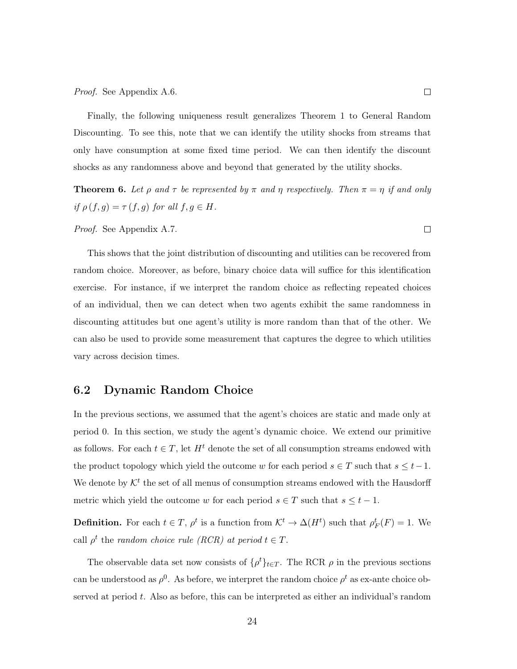Finally, the following uniqueness result generalizes Theorem 1 to General Random Discounting. To see this, note that we can identify the utility shocks from streams that only have consumption at some fixed time period. We can then identify the discount shocks as any randomness above and beyond that generated by the utility shocks.

**Theorem 6.** Let  $\rho$  and  $\tau$  be represented by  $\pi$  and  $\eta$  respectively. Then  $\pi = \eta$  if and only if  $\rho(f,g) = \tau(f,g)$  for all  $f,g \in H$ .

#### Proof. See Appendix A.7.

This shows that the joint distribution of discounting and utilities can be recovered from random choice. Moreover, as before, binary choice data will suffice for this identification exercise. For instance, if we interpret the random choice as reflecting repeated choices of an individual, then we can detect when two agents exhibit the same randomness in discounting attitudes but one agent's utility is more random than that of the other. We can also be used to provide some measurement that captures the degree to which utilities vary across decision times.

### 6.2 Dynamic Random Choice

In the previous sections, we assumed that the agent's choices are static and made only at period 0. In this section, we study the agent's dynamic choice. We extend our primitive as follows. For each  $t \in T$ , let  $H^t$  denote the set of all consumption streams endowed with the product topology which yield the outcome w for each period  $s \in T$  such that  $s \leq t-1$ . We denote by  $\mathcal{K}^t$  the set of all menus of consumption streams endowed with the Hausdorff metric which yield the outcome w for each period  $s \in T$  such that  $s \leq t - 1$ .

**Definition.** For each  $t \in T$ ,  $\rho^t$  is a function from  $\mathcal{K}^t \to \Delta(H^t)$  such that  $\rho_F^t(F) = 1$ . We call  $\rho^t$  the random choice rule (RCR) at period  $t \in T$ .

The observable data set now consists of  $\{\rho^t\}_{t\in T}$ . The RCR  $\rho$  in the previous sections can be understood as  $\rho^0$ . As before, we interpret the random choice  $\rho^t$  as ex-ante choice observed at period t. Also as before, this can be interpreted as either an individual's random

 $\Box$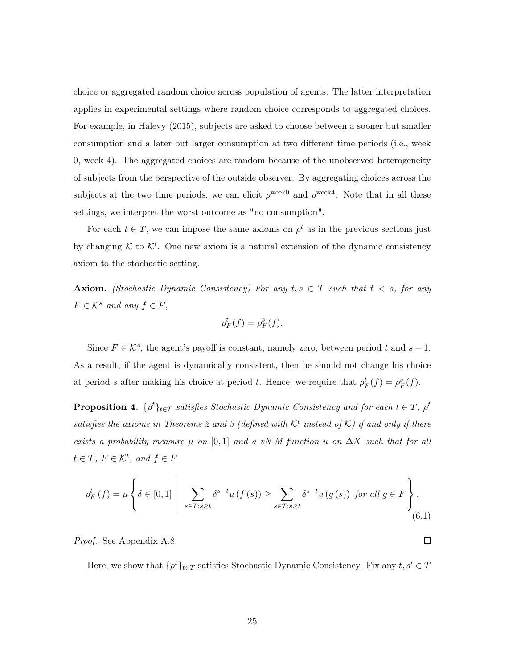choice or aggregated random choice across population of agents. The latter interpretation applies in experimental settings where random choice corresponds to aggregated choices. For example, in Halevy (2015), subjects are asked to choose between a sooner but smaller consumption and a later but larger consumption at two different time periods (i.e., week 0, week 4). The aggregated choices are random because of the unobserved heterogeneity of subjects from the perspective of the outside observer. By aggregating choices across the subjects at the two time periods, we can elicit  $\rho^{\text{week0}}$  and  $\rho^{\text{week4}}$ . Note that in all these settings, we interpret the worst outcome as "no consumption".

For each  $t \in T$ , we can impose the same axioms on  $\rho^t$  as in the previous sections just by changing  $K$  to  $K<sup>t</sup>$ . One new axiom is a natural extension of the dynamic consistency axiom to the stochastic setting.

**Axiom.** (Stochastic Dynamic Consistency) For any  $t, s \in T$  such that  $t < s$ , for any  $F \in \mathcal{K}^s$  and any  $f \in F$ ,

$$
\rho_F^t(f) = \rho_F^s(f).
$$

Since  $F \in \mathcal{K}^s$ , the agent's payoff is constant, namely zero, between period t and  $s - 1$ . As a result, if the agent is dynamically consistent, then he should not change his choice at period s after making his choice at period t. Hence, we require that  $\rho_F^t(f) = \rho_F^s(f)$ .

**Proposition 4.**  $\{\rho^t\}_{t \in T}$  satisfies Stochastic Dynamic Consistency and for each  $t \in T$ ,  $\rho^t$ satisfies the axioms in Theorems 2 and 3 (defined with  $\mathcal{K}^t$  instead of  $\mathcal{K}$ ) if and only if there exists a probability measure  $\mu$  on [0,1] and a vN-M function u on  $\Delta X$  such that for all  $t \in T$ ,  $F \in \mathcal{K}^t$ , and  $f \in F$ 

$$
\rho_F^t(f) = \mu \left\{ \delta \in [0,1] \; \left| \; \sum_{s \in T : s \ge t} \delta^{s-t} u(f(s)) \ge \sum_{s \in T : s \ge t} \delta^{s-t} u(g(s)) \text{ for all } g \in F \right. \right\}.
$$
\n
$$
(6.1)
$$

Proof. See Appendix A.8.

Here, we show that  $\{\rho^t\}_{t\in T}$  satisfies Stochastic Dynamic Consistency. Fix any  $t, s' \in T$ 

 $\Box$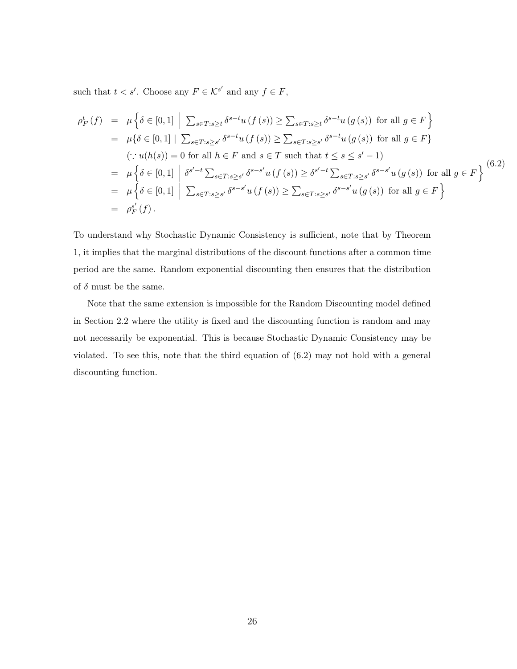such that  $t < s'$ . Choose any  $F \in \mathcal{K}^{s'}$  and any  $f \in F$ ,

$$
\rho_F^t(f) = \mu \left\{ \delta \in [0,1] \; \Big| \; \sum_{s \in T : s \ge t} \delta^{s-t} u(f(s)) \ge \sum_{s \in T : s \ge t} \delta^{s-t} u(g(s)) \text{ for all } g \in F \right\}
$$
\n
$$
= \mu \left\{ \delta \in [0,1] \; \Big| \; \sum_{s \in T : s \ge s'} \delta^{s-t} u(f(s)) \ge \sum_{s \in T : s \ge s'} \delta^{s-t} u(g(s)) \text{ for all } g \in F \right\}
$$
\n
$$
(\because u(h(s)) = 0 \text{ for all } h \in F \text{ and } s \in T \text{ such that } t \le s \le s'-1)
$$
\n
$$
= \mu \left\{ \delta \in [0,1] \; \Big| \; \delta^{s'-t} \sum_{s \in T : s \ge s'} \delta^{s-s'} u(f(s)) \ge \delta^{s'-t} \sum_{s \in T : s \ge s'} \delta^{s-s'} u(g(s)) \text{ for all } g \in F \right\}
$$
\n
$$
= \mu \left\{ \delta \in [0,1] \; \Big| \; \sum_{s \in T : s \ge s'} \delta^{s-s'} u(f(s)) \ge \sum_{s \in T : s \ge s'} \delta^{s-s'} u(g(s)) \text{ for all } g \in F \right\}
$$
\n
$$
= \rho_F^{s'}(f).
$$
\n(6.2)

To understand why Stochastic Dynamic Consistency is sufficient, note that by Theorem 1, it implies that the marginal distributions of the discount functions after a common time period are the same. Random exponential discounting then ensures that the distribution of  $\delta$  must be the same.

Note that the same extension is impossible for the Random Discounting model defined in Section 2.2 where the utility is fixed and the discounting function is random and may not necessarily be exponential. This is because Stochastic Dynamic Consistency may be violated. To see this, note that the third equation of (6.2) may not hold with a general discounting function.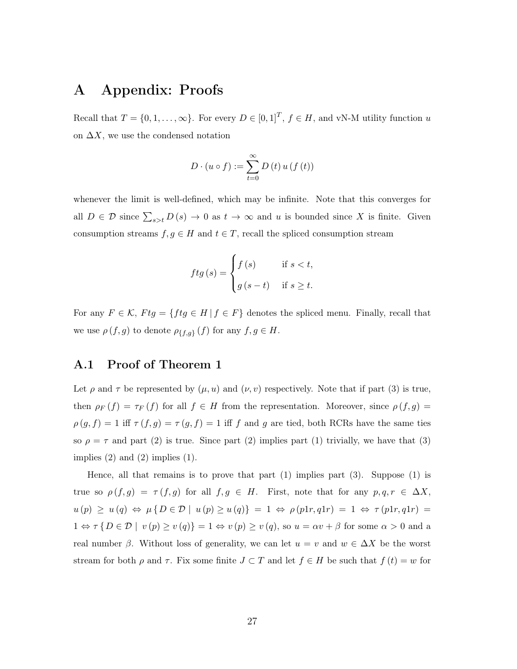# A Appendix: Proofs

Recall that  $T = \{0, 1, \ldots, \infty\}$ . For every  $D \in [0, 1]^T$ ,  $f \in H$ , and vN-M utility function u on  $\Delta X$ , we use the condensed notation

$$
D \cdot (u \circ f) := \sum_{t=0}^{\infty} D(t) u(f(t))
$$

whenever the limit is well-defined, which may be infinite. Note that this converges for all  $D \in \mathcal{D}$  since  $\sum_{s>t} D(s) \to 0$  as  $t \to \infty$  and u is bounded since X is finite. Given consumption streams  $f, g \in H$  and  $t \in T$ , recall the spliced consumption stream

$$
ftg(s) = \begin{cases} f(s) & \text{if } s < t, \\ g(s-t) & \text{if } s \ge t. \end{cases}
$$

For any  $F \in \mathcal{K}$ ,  $Ftg = \{ fftg \in H | f \in F \}$  denotes the spliced menu. Finally, recall that we use  $\rho(f,g)$  to denote  $\rho_{\{f,g\}}(f)$  for any  $f,g \in H$ .

### A.1 Proof of Theorem 1

Let  $\rho$  and  $\tau$  be represented by  $(\mu, u)$  and  $(\nu, v)$  respectively. Note that if part (3) is true, then  $\rho_F(f) = \tau_F(f)$  for all  $f \in H$  from the representation. Moreover, since  $\rho(f, g)$  $\rho(g, f) = 1$  iff  $\tau(f, g) = \tau(g, f) = 1$  iff f and g are tied, both RCRs have the same ties so  $\rho = \tau$  and part (2) is true. Since part (2) implies part (1) trivially, we have that (3) implies  $(2)$  and  $(2)$  implies  $(1)$ .

Hence, all that remains is to prove that part  $(1)$  implies part  $(3)$ . Suppose  $(1)$  is true so  $\rho(f,g) = \tau(f,g)$  for all  $f,g \in H$ . First, note that for any  $p,q,r \in \Delta X$ ,  $u (p) \geq u (q) \Leftrightarrow \mu \{D \in \mathcal{D} \mid u (p) \geq u (q) \} = 1 \Leftrightarrow \rho (p1r, q1r) = 1 \Leftrightarrow \tau (p1r, q1r) = 1$  $1 \Leftrightarrow \tau \{ D \in \mathcal{D} \mid v(p) \geq v(q) \} = 1 \Leftrightarrow v(p) \geq v(q)$ , so  $u = \alpha v + \beta$  for some  $\alpha > 0$  and a real number  $\beta$ . Without loss of generality, we can let  $u = v$  and  $w \in \Delta X$  be the worst stream for both  $\rho$  and  $\tau$ . Fix some finite  $J \subset T$  and let  $f \in H$  be such that  $f(t) = w$  for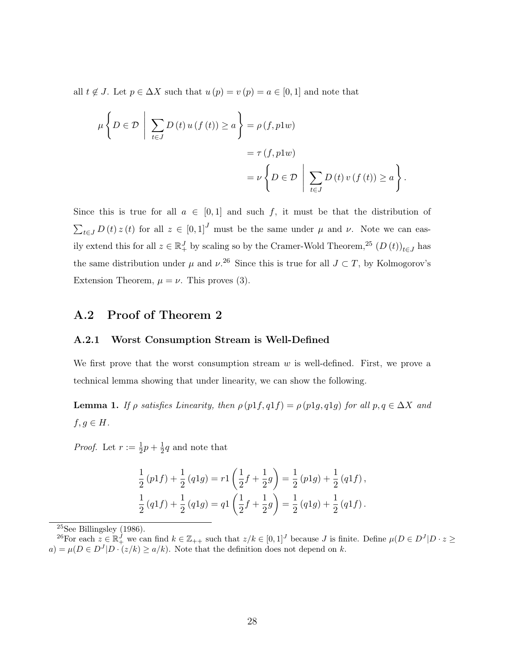all  $t \notin J$ . Let  $p \in \Delta X$  such that  $u(p) = v(p) = a \in [0,1]$  and note that

$$
\mu\left\{D \in \mathcal{D} \mid \sum_{t \in J} D(t) u(f(t)) \ge a \right\} = \rho(f, p1w)
$$
  
=  $\tau(f, p1w)$   
=  $\nu \left\{D \in \mathcal{D} \mid \sum_{t \in J} D(t) v(f(t)) \ge a \right\}.$ 

Since this is true for all  $a \in [0,1]$  and such f, it must be that the distribution of  $\sum_{t\in J} D(t) z(t)$  for all  $z \in [0,1]^J$  must be the same under  $\mu$  and  $\nu$ . Note we can easily extend this for all  $z \in \mathbb{R}^J_+$  by scaling so by the Cramer-Wold Theorem,<sup>25</sup>  $(D(t))_{t \in J}$  has the same distribution under  $\mu$  and  $\nu^{26}$  Since this is true for all  $J \subset T$ , by Kolmogorov's Extension Theorem,  $\mu = \nu$ . This proves (3).

### A.2 Proof of Theorem 2

#### A.2.1 Worst Consumption Stream is Well-Defined

We first prove that the worst consumption stream  $w$  is well-defined. First, we prove a technical lemma showing that under linearity, we can show the following.

**Lemma 1.** If  $\rho$  satisfies Linearity, then  $\rho$  (p1f, q1f) =  $\rho$  (p1g, q1g) for all  $p, q \in \Delta X$  and  $f, g \in H$ .

*Proof.* Let  $r := \frac{1}{2}p + \frac{1}{2}$  $\frac{1}{2}q$  and note that

$$
\frac{1}{2}(p1f) + \frac{1}{2}(q1g) = r1\left(\frac{1}{2}f + \frac{1}{2}g\right) = \frac{1}{2}(p1g) + \frac{1}{2}(q1f),
$$
  

$$
\frac{1}{2}(q1f) + \frac{1}{2}(q1g) = q1\left(\frac{1}{2}f + \frac{1}{2}g\right) = \frac{1}{2}(q1g) + \frac{1}{2}(q1f).
$$

 $25$ See Billingsley (1986).

<sup>&</sup>lt;sup>26</sup>For each  $z \in \mathbb{R}^j$ , we can find  $k \in \mathbb{Z}_{++}$  such that  $z/k \in [0,1]^J$  because J is finite. Define  $\mu(D \in D^J | D \cdot z \ge$  $a) = \mu(D \in D<sup>J</sup>|D \cdot (z/k) \ge a/k$ . Note that the definition does not depend on k.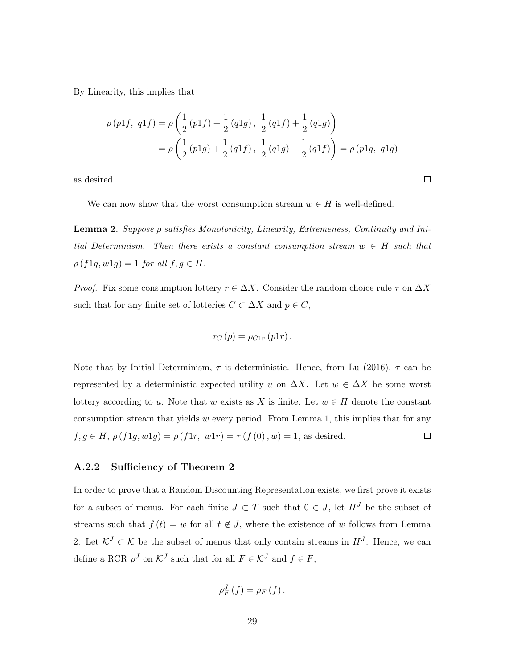By Linearity, this implies that

$$
\rho(p1f, q1f) = \rho\left(\frac{1}{2}(p1f) + \frac{1}{2}(q1g), \frac{1}{2}(q1f) + \frac{1}{2}(q1g)\right)
$$

$$
= \rho\left(\frac{1}{2}(p1g) + \frac{1}{2}(q1f), \frac{1}{2}(q1g) + \frac{1}{2}(q1f)\right) = \rho(p1g, q1g)
$$

 $\Box$ 

as desired.

We can now show that the worst consumption stream  $w \in H$  is well-defined.

Lemma 2. Suppose ρ satisfies Monotonicity, Linearity, Extremeness, Continuity and Initial Determinism. Then there exists a constant consumption stream  $w \in H$  such that  $\rho(f1g, w1g) = 1$  for all  $f, g \in H$ .

*Proof.* Fix some consumption lottery  $r \in \Delta X$ . Consider the random choice rule  $\tau$  on  $\Delta X$ such that for any finite set of lotteries  $C \subset \Delta X$  and  $p \in C$ ,

$$
\tau_C(p) = \rho_{C1r}(p1r).
$$

Note that by Initial Determinism,  $\tau$  is deterministic. Hence, from Lu (2016),  $\tau$  can be represented by a deterministic expected utility u on  $\Delta X$ . Let  $w \in \Delta X$  be some worst lottery according to u. Note that w exists as X is finite. Let  $w \in H$  denote the constant consumption stream that yields  $w$  every period. From Lemma 1, this implies that for any  $f, g \in H$ ,  $\rho(f1g, w1g) = \rho(f1r, w1r) = \tau(f(0), w) = 1$ , as desired.  $\Box$ 

#### A.2.2 Sufficiency of Theorem 2

In order to prove that a Random Discounting Representation exists, we first prove it exists for a subset of menus. For each finite  $J \subset T$  such that  $0 \in J$ , let  $H^J$  be the subset of streams such that  $f(t) = w$  for all  $t \notin J$ , where the existence of w follows from Lemma 2. Let  $\mathcal{K}^J \subset \mathcal{K}$  be the subset of menus that only contain streams in  $H^J$ . Hence, we can define a RCR  $\rho^J$  on  $\mathcal{K}^J$  such that for all  $F \in \mathcal{K}^J$  and  $f \in F$ ,

$$
\rho_{F}^{J}(f)=\rho_{F}(f).
$$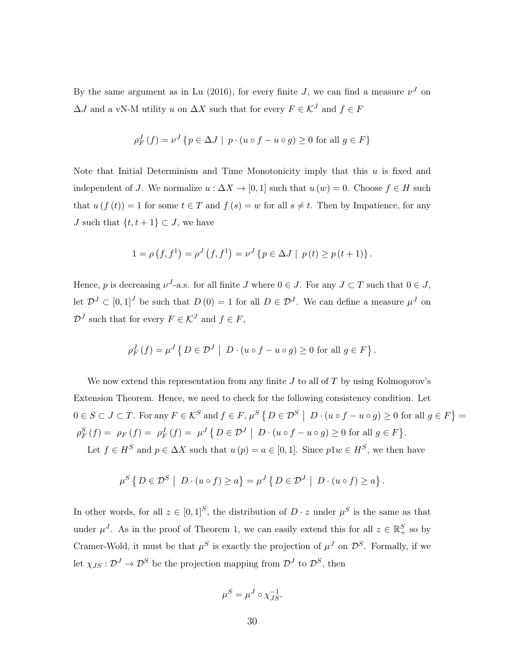By the same argument as in Lu (2016), for every finite J, we can find a measure  $\nu<sup>J</sup>$  on  $\Delta J$  and a vN-M utility  $u$  on  $\Delta X$  such that for every  $F\in\mathcal{K}^J$  and  $f\in F$ 

$$
\rho_F^J(f) = \nu^J \{ p \in \Delta J \mid p \cdot (u \circ f - u \circ g) \ge 0 \text{ for all } g \in F \}
$$

Note that Initial Determinism and Time Monotonicity imply that this  $u$  is fixed and independent of J. We normalize  $u : \Delta X \to [0, 1]$  such that  $u(w) = 0$ . Choose  $f \in H$  such that  $u(f(t)) = 1$  for some  $t \in T$  and  $f(s) = w$  for all  $s \neq t$ . Then by Impatience, for any *J* such that  $\{t, t + 1\} \subset J$ , we have

$$
1 = \rho(f, f^{1}) = \rho^{J}(f, f^{1}) = \nu^{J}\left\{p \in \Delta J \mid p(t) \ge p(t+1)\right\}.
$$

Hence, p is decreasing  $\nu^{J}$ -a.s. for all finite J where  $0 \in J$ . For any  $J \subset T$  such that  $0 \in J$ , let  $\mathcal{D}^J \subset [0,1]^J$  be such that  $D(0) = 1$  for all  $D \in \mathcal{D}^J$ . We can define a measure  $\mu^J$  on  $\mathcal{D}^J$  such that for every  $F \in \mathcal{K}^J$  and  $f \in F$ ,

$$
\rho_F^J(f) = \mu^J \left\{ D \in \mathcal{D}^J \middle| D \cdot (u \circ f - u \circ g) \ge 0 \text{ for all } g \in F \right\}.
$$

We now extend this representation from any finite  $J$  to all of  $T$  by using Kolmogorov's Extension Theorem. Hence, we need to check for the following consistency condition. Let  $0 \in S \subset J \subset T$ . For any  $F \in \mathcal{K}^S$  and  $f \in F$ ,  $\mu^S \left\{ D \in \mathcal{D}^S \mid D \cdot (u \circ f - u \circ g) \geq 0$  for all  $g \in F \right\} =$  $\rho_F^S(f) = \rho_F(f) = \rho_F^J(f) = \mu^J \{ D \in \mathcal{D}^J \mid D \cdot (u \circ f - u \circ g) \ge 0 \text{ for all } g \in F \}.$ Let  $f \in H^S$  and  $p \in \Delta X$  such that  $u(p) = a \in [0, 1]$ . Since  $p1w \in H^S$ , we then have

$$
\mu^S\left\{\,D\in\mathcal{D}^S\,\,\big|\,\,D\cdot(u\circ f)\geq a\right\}=\mu^J\left\{\,D\in\mathcal{D}^J\,\,\big|\,\,D\cdot(u\circ f)\geq a\right\}.
$$

In other words, for all  $z \in [0,1]^S$ , the distribution of  $D \cdot z$  under  $\mu^S$  is the same as that under  $\mu^{J}$ . As in the proof of Theorem 1, we can easily extend this for all  $z \in \mathbb{R}^{S}_{+}$  so by Cramer-Wold, it must be that  $\mu^S$  is exactly the projection of  $\mu^J$  on  $\mathcal{D}^S$ . Formally, if we let  $\chi_{JS}: \mathcal{D}^J \to \mathcal{D}^S$  be the projection mapping from  $\mathcal{D}^J$  to  $\mathcal{D}^S$ , then

$$
\mu^S = \mu^J \circ \chi_{JS}^{-1}.
$$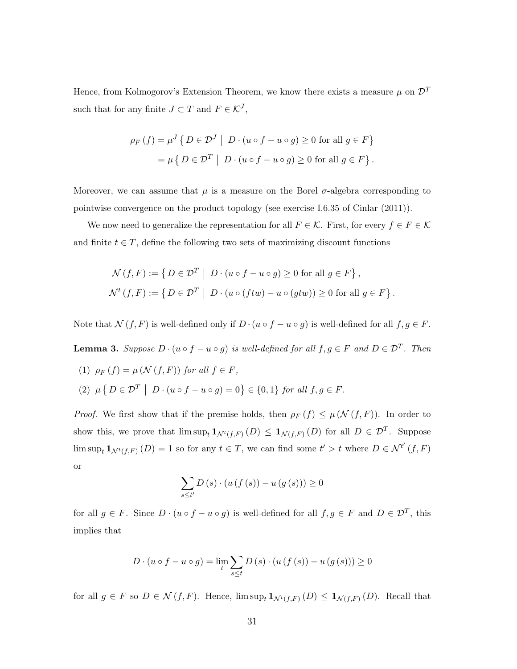Hence, from Kolmogorov's Extension Theorem, we know there exists a measure  $\mu$  on  $\mathcal{D}^T$ such that for any finite  $J \subset T$  and  $F \in \mathcal{K}^J$ ,

$$
\rho_F(f) = \mu^J \{ D \in \mathcal{D}^J \mid D \cdot (u \circ f - u \circ g) \ge 0 \text{ for all } g \in F \}
$$
  
= 
$$
\mu \{ D \in \mathcal{D}^T \mid D \cdot (u \circ f - u \circ g) \ge 0 \text{ for all } g \in F \}.
$$

Moreover, we can assume that  $\mu$  is a measure on the Borel  $\sigma$ -algebra corresponding to pointwise convergence on the product topology (see exercise I.6.35 of Cinlar (2011)).

We now need to generalize the representation for all  $F \in \mathcal{K}$ . First, for every  $f \in F \in \mathcal{K}$ and finite  $t \in T$ , define the following two sets of maximizing discount functions

$$
\mathcal{N}(f, F) := \left\{ D \in \mathcal{D}^T \mid D \cdot (u \circ f - u \circ g) \ge 0 \text{ for all } g \in F \right\},\
$$
  

$$
\mathcal{N}^t(f, F) := \left\{ D \in \mathcal{D}^T \mid D \cdot (u \circ (f tw) - u \circ (g tw)) \ge 0 \text{ for all } g \in F \right\}.
$$

Note that  $\mathcal{N}(f, F)$  is well-defined only if  $D \cdot (u \circ f - u \circ g)$  is well-defined for all  $f, g \in F$ .

**Lemma 3.** Suppose  $D \cdot (u \circ f - u \circ g)$  is well-defined for all  $f, g \in F$  and  $D \in \mathcal{D}^T$ . Then

(1)  $\rho_F(f) = \mu(\mathcal{N}(f, F))$  for all  $f \in F$ , (2)  $\mu \{ D \in \mathcal{D}^T \mid D \cdot (u \circ f - u \circ g) = 0 \} \in \{0, 1\} \text{ for all } f, g \in F.$ 

*Proof.* We first show that if the premise holds, then  $\rho_F(f) \leq \mu(\mathcal{N}(f, F))$ . In order to show this, we prove that  $\limsup_t \mathbf{1}_{\mathcal{N}^t(f,F)}(D) \leq \mathbf{1}_{\mathcal{N}(f,F)}(D)$  for all  $D \in \mathcal{D}^T$ . Suppose  $\limsup_t \mathbf{1}_{\mathcal{N}^t(f,F)}(D) = 1$  so for any  $t \in T$ , we can find some  $t' > t$  where  $D \in \mathcal{N}^{t'}(f,F)$ or

$$
\sum_{s\leq t'} D(s) \cdot (u(f(s))-u(g(s))) \geq 0
$$

for all  $g \in F$ . Since  $D \cdot (u \circ f - u \circ g)$  is well-defined for all  $f, g \in F$  and  $D \in \mathcal{D}^T$ , this implies that

$$
D \cdot (u \circ f - u \circ g) = \lim_{t} \sum_{s \le t} D(s) \cdot (u(f(s)) - u(g(s))) \ge 0
$$

for all  $g \in F$  so  $D \in \mathcal{N}(f, F)$ . Hence,  $\limsup_t \mathbf{1}_{\mathcal{N}^t(f, F)}(D) \leq \mathbf{1}_{\mathcal{N}(f, F)}(D)$ . Recall that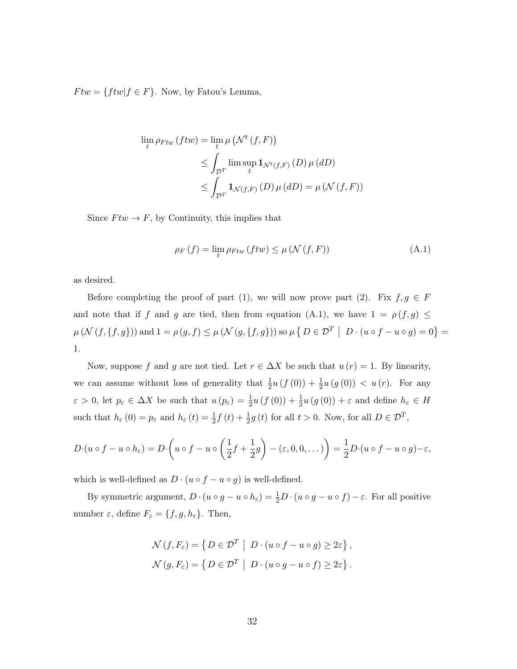$F tw = \{ftw | f \in F\}.$  Now, by Fatou's Lemma,

$$
\lim_{t} \rho_{Ftw} (ftw) = \lim_{t} \mu \left( \mathcal{N}^t (f, F) \right)
$$
  
\n
$$
\leq \int_{\mathcal{D}^T} \lim_{t} \sup_{t} \mathbf{1}_{\mathcal{N}^t (f, F)} (D) \mu (dD)
$$
  
\n
$$
\leq \int_{\mathcal{D}^T} \mathbf{1}_{\mathcal{N} (f, F)} (D) \mu (dD) = \mu (\mathcal{N} (f, F))
$$

Since  $Ftw \to F$ , by Continuity, this implies that

$$
\rho_F\left(f\right) = \lim_{t} \rho_{Ftw}\left(ftw\right) \le \mu\left(\mathcal{N}\left(f,F\right)\right) \tag{A.1}
$$

as desired.

Before completing the proof of part (1), we will now prove part (2). Fix  $f, g \in F$ and note that if f and g are tied, then from equation (A.1), we have  $1 = \rho(f, g) \le$  $\mu(N(f,\lbrace f,g \rbrace))$  and  $1 = \rho(g,f) \leq \mu(N(g,\lbrace f,g \rbrace))$  so  $\mu(\lbrace D \in \mathcal{D}^T \mid D \cdot (u \circ f - u \circ g) = 0 \rbrace =$ 1.

Now, suppose f and g are not tied. Let  $r \in \Delta X$  be such that  $u(r) = 1$ . By linearity, we can assume without loss of generality that  $\frac{1}{2}u(f(0)) + \frac{1}{2}u(g(0)) < u(r)$ . For any  $\varepsilon > 0$ , let  $p_{\varepsilon} \in \Delta X$  be such that  $u(p_{\varepsilon}) = \frac{1}{2}u(f(0)) + \frac{1}{2}u(g(0)) + \varepsilon$  and define  $h_{\varepsilon} \in H$ such that  $h_{\varepsilon}(0) = p_{\varepsilon}$  and  $h_{\varepsilon}(t) = \frac{1}{2}f(t) + \frac{1}{2}g(t)$  for all  $t > 0$ . Now, for all  $D \in \mathcal{D}^{T}$ ,

$$
D \cdot (u \circ f - u \circ h_{\varepsilon}) = D \cdot \left( u \circ f - u \circ \left( \frac{1}{2} f + \frac{1}{2} g \right) - (\varepsilon, 0, 0, \dots) \right) = \frac{1}{2} D \cdot (u \circ f - u \circ g) - \varepsilon,
$$

which is well-defined as  $D \cdot (u \circ f - u \circ g)$  is well-defined.

By symmetric argument,  $D \cdot (u \circ g - u \circ h_{\varepsilon}) = \frac{1}{2}D \cdot (u \circ g - u \circ f) - \varepsilon$ . For all positive number  $\varepsilon$ , define  $F_{\varepsilon} = \{f, g, h_{\varepsilon}\}\.$  Then,

$$
\mathcal{N}(f, F_{\varepsilon}) = \{ D \in \mathcal{D}^T \mid D \cdot (u \circ f - u \circ g) \ge 2\varepsilon \},\
$$
  

$$
\mathcal{N}(g, F_{\varepsilon}) = \{ D \in \mathcal{D}^T \mid D \cdot (u \circ g - u \circ f) \ge 2\varepsilon \}.
$$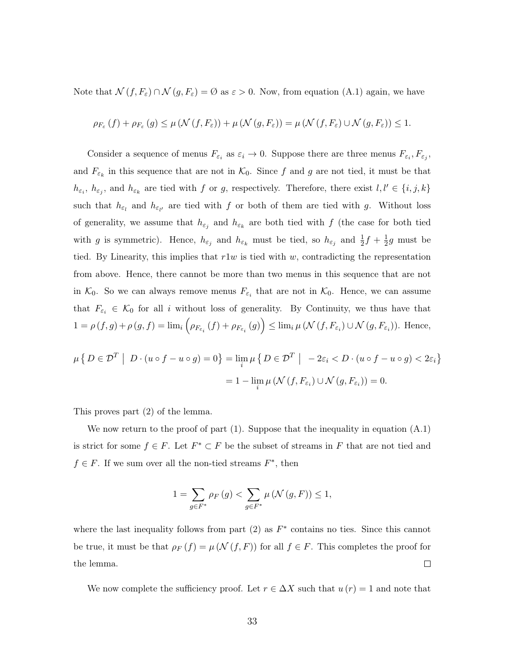Note that  $\mathcal{N}(f, F_{\varepsilon}) \cap \mathcal{N}(g, F_{\varepsilon}) = \emptyset$  as  $\varepsilon > 0$ . Now, from equation (A.1) again, we have

$$
\rho_{F_{\varepsilon}}(f) + \rho_{F_{\varepsilon}}(g) \leq \mu \left(\mathcal{N}(f, F_{\varepsilon})\right) + \mu \left(\mathcal{N}(g, F_{\varepsilon})\right) = \mu \left(\mathcal{N}(f, F_{\varepsilon}) \cup \mathcal{N}(g, F_{\varepsilon})\right) \leq 1.
$$

Consider a sequence of menus  $F_{\varepsilon_i}$  as  $\varepsilon_i \to 0$ . Suppose there are three menus  $F_{\varepsilon_i}, F_{\varepsilon_j}$ , and  $F_{\varepsilon_k}$  in this sequence that are not in  $\mathcal{K}_0$ . Since f and g are not tied, it must be that  $h_{\varepsilon_i}, h_{\varepsilon_j}$ , and  $h_{\varepsilon_k}$  are tied with f or g, respectively. Therefore, there exist  $l, l' \in \{i, j, k\}$ such that  $h_{\varepsilon_l}$  and  $h_{\varepsilon_{l'}}$  are tied with f or both of them are tied with g. Without loss of generality, we assume that  $h_{\varepsilon_j}$  and  $h_{\varepsilon_k}$  are both tied with f (the case for both tied with g is symmetric). Hence,  $h_{\varepsilon_j}$  and  $h_{\varepsilon_k}$  must be tied, so  $h_{\varepsilon_j}$  and  $\frac{1}{2}f + \frac{1}{2}$  $\frac{1}{2}g$  must be tied. By Linearity, this implies that  $r1w$  is tied with w, contradicting the representation from above. Hence, there cannot be more than two menus in this sequence that are not in  $\mathcal{K}_0$ . So we can always remove menus  $F_{\varepsilon_i}$  that are not in  $\mathcal{K}_0$ . Hence, we can assume that  $F_{\varepsilon_i} \in \mathcal{K}_0$  for all i without loss of generality. By Continuity, we thus have that  $1 = \rho(f,g) + \rho(g,f) = \lim_i \left( \rho_{F_{\varepsilon_i}}(f) + \rho_{F_{\varepsilon_i}}(g) \right) \leq \lim_i \mu(\mathcal{N}(f,F_{\varepsilon_i}) \cup \mathcal{N}(g,F_{\varepsilon_i}))$ . Hence,

$$
\mu\left\{D \in \mathcal{D}^T \middle| D \cdot (u \circ f - u \circ g) = 0\right\} = \lim_{i} \mu\left\{D \in \mathcal{D}^T \middle| -2\varepsilon_i < D \cdot (u \circ f - u \circ g) < 2\varepsilon_i\right\}
$$
\n
$$
= 1 - \lim_{i} \mu\left(\mathcal{N}\left(f, F_{\varepsilon_i}\right) \cup \mathcal{N}\left(g, F_{\varepsilon_i}\right)\right) = 0.
$$

This proves part (2) of the lemma.

We now return to the proof of part (1). Suppose that the inequality in equation  $(A.1)$ is strict for some  $f \in F$ . Let  $F^* \subset F$  be the subset of streams in F that are not tied and  $f \in F$ . If we sum over all the non-tied streams  $F^*$ , then

$$
1=\sum_{g\in F^*}\rho_F\left(g\right)<\sum_{g\in F^*}\mu\left(\mathcal{N}\left(g,F\right)\right)\leq 1,
$$

where the last inequality follows from part  $(2)$  as  $F^*$  contains no ties. Since this cannot be true, it must be that  $\rho_F(f) = \mu(\mathcal{N}(f, F))$  for all  $f \in F$ . This completes the proof for the lemma.  $\Box$ 

We now complete the sufficiency proof. Let  $r \in \Delta X$  such that  $u(r) = 1$  and note that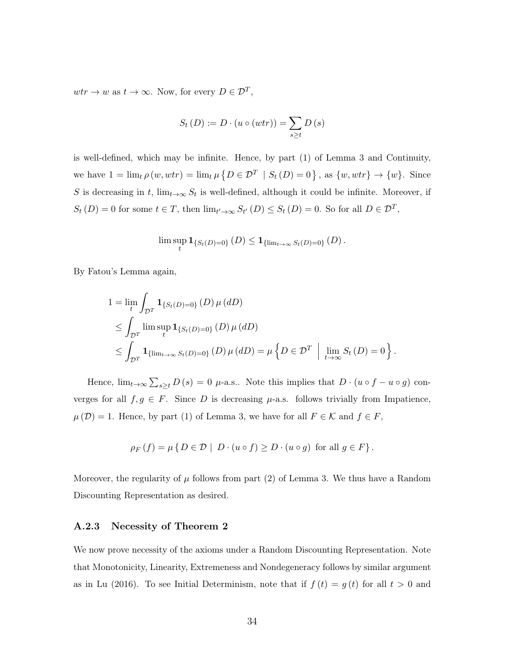$wtr \to w$  as  $t \to \infty$ . Now, for every  $D \in \mathcal{D}^T$ ,

$$
S_t(D) := D \cdot (u \circ (wtr)) = \sum_{s \ge t} D(s)
$$

is well-defined, which may be infinite. Hence, by part (1) of Lemma 3 and Continuity, we have  $1 = \lim_{t \to 0} \rho(w, wt) = \lim_{t \to 0} \mu\{D \in \mathcal{D}^T \mid S_t(D) = 0\}$ , as  $\{w, wt\} \to \{w\}$ . Since S is decreasing in t,  $\lim_{t\to\infty} S_t$  is well-defined, although it could be infinite. Moreover, if  $S_t(D) = 0$  for some  $t \in T$ , then  $\lim_{t' \to \infty} S_{t'}(D) \leq S_t(D) = 0$ . So for all  $D \in \mathcal{D}^T$ ,

$$
\lim \sup_{t} \mathbf{1}_{\{S_t(D)=0\}}(D) \leq \mathbf{1}_{\{\lim_{t\to\infty} S_t(D)=0\}}(D).
$$

By Fatou's Lemma again,

$$
1 = \lim_{t} \int_{\mathcal{D}^T} \mathbf{1}_{\{S_t(D) = 0\}}(D) \mu(dD)
$$
  
\n
$$
\leq \int_{\mathcal{D}^T} \limsup_{t} \mathbf{1}_{\{S_t(D) = 0\}}(D) \mu(dD)
$$
  
\n
$$
\leq \int_{\mathcal{D}^T} \mathbf{1}_{\{\lim_{t \to \infty} S_t(D) = 0\}}(D) \mu(dD) = \mu \left\{ D \in \mathcal{D}^T \mid \lim_{t \to \infty} S_t(D) = 0 \right\}.
$$

Hence,  $\lim_{t\to\infty}\sum_{s\geq t}D(s)=0$   $\mu$ -a.s.. Note this implies that  $D\cdot(u\circ f-u\circ g)$  converges for all  $f, g \in F$ . Since D is decreasing  $\mu$ -a.s. follows trivially from Impatience,  $\mu(\mathcal{D}) = 1$ . Hence, by part (1) of Lemma 3, we have for all  $F \in \mathcal{K}$  and  $f \in F$ ,

$$
\rho_F(f) = \mu \{ D \in \mathcal{D} \mid D \cdot (u \circ f) \ge D \cdot (u \circ g) \text{ for all } g \in F \}.
$$

Moreover, the regularity of  $\mu$  follows from part (2) of Lemma 3. We thus have a Random Discounting Representation as desired.

#### A.2.3 Necessity of Theorem 2

We now prove necessity of the axioms under a Random Discounting Representation. Note that Monotonicity, Linearity, Extremeness and Nondegeneracy follows by similar argument as in Lu (2016). To see Initial Determinism, note that if  $f(t) = g(t)$  for all  $t > 0$  and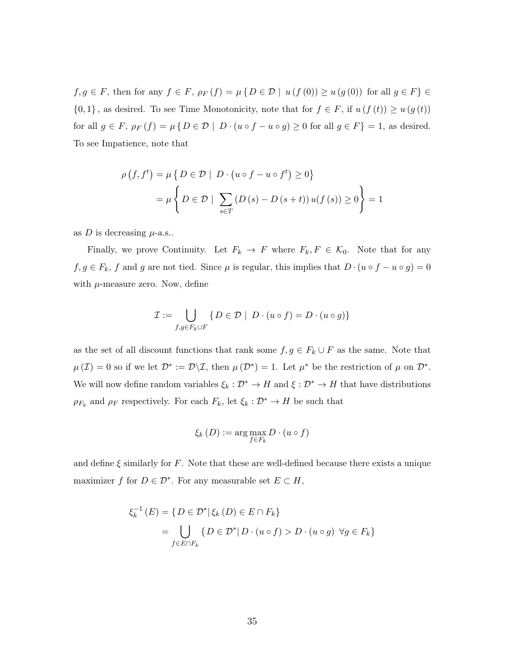$f, g \in F$ , then for any  $f \in F$ ,  $\rho_F(f) = \mu\{D \in \mathcal{D} \mid u(f(0)) \geq u(g(0))$  for all  $g \in F\}$  ${0,1}$ , as desired. To see Time Monotonicity, note that for  $f \in F$ , if  $u(f(t)) \geq u(g(t))$ for all  $g \in F$ ,  $\rho_F(f) = \mu \{ D \in \mathcal{D} \mid D \cdot (u \circ f - u \circ g) \ge 0 \text{ for all } g \in F \} = 1$ , as desired. To see Impatience, note that

$$
\rho(f, f^t) = \mu \{ D \in \mathcal{D} \mid D \cdot (u \circ f - u \circ f^t) \ge 0 \}
$$

$$
= \mu \{ D \in \mathcal{D} \mid \sum_{s \in T} (D(s) - D(s + t)) u(f(s)) \ge 0 \} = 1
$$

as D is decreasing  $\mu$ -a.s..

Finally, we prove Continuity. Let  $F_k \to F$  where  $F_k, F \in \mathcal{K}_0$ . Note that for any  $f, g \in F_k$ , f and g are not tied. Since  $\mu$  is regular, this implies that  $D \cdot (u \circ f - u \circ g) = 0$ with  $\mu$ -measure zero. Now, define

$$
\mathcal{I} := \bigcup_{f,g \in F_k \cup F} \{ D \in \mathcal{D} \mid D \cdot (u \circ f) = D \cdot (u \circ g) \}
$$

as the set of all discount functions that rank some  $f, g \in F_k \cup F$  as the same. Note that  $\mu(\mathcal{I}) = 0$  so if we let  $\mathcal{D}^* := \mathcal{D}\backslash\mathcal{I}$ , then  $\mu(\mathcal{D}^*) = 1$ . Let  $\mu^*$  be the restriction of  $\mu$  on  $\mathcal{D}^*$ . We will now define random variables  $\xi_k : \mathcal{D}^* \to H$  and  $\xi : \mathcal{D}^* \to H$  that have distributions  $\rho_{F_k}$  and  $\rho_F$  respectively. For each  $F_k$ , let  $\xi_k : \mathcal{D}^* \to H$  be such that

$$
\xi_k(D) := \arg\max_{f \in F_k} D \cdot (u \circ f)
$$

and define  $\xi$  similarly for F. Note that these are well-defined because there exists a unique maximizer f for  $D \in \mathcal{D}^*$ . For any measurable set  $E \subset H$ ,

$$
\xi_k^{-1}(E) = \{ D \in \mathcal{D}^* | \xi_k(D) \in E \cap F_k \}
$$
  
= 
$$
\bigcup_{f \in E \cap F_k} \{ D \in \mathcal{D}^* | D \cdot (u \circ f) > D \cdot (u \circ g) \ \forall g \in F_k \}
$$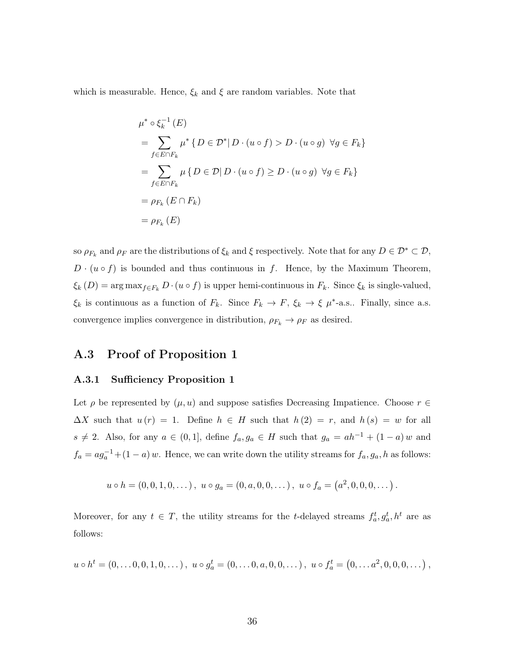which is measurable. Hence,  $\xi_k$  and  $\xi$  are random variables. Note that

$$
\mu^* \circ \xi_k^{-1}(E)
$$
  
= 
$$
\sum_{f \in E \cap F_k} \mu^* \{ D \in \mathcal{D}^* | D \cdot (u \circ f) > D \cdot (u \circ g) \ \forall g \in F_k \}
$$
  
= 
$$
\sum_{f \in E \cap F_k} \mu \{ D \in \mathcal{D} | D \cdot (u \circ f) \ge D \cdot (u \circ g) \ \forall g \in F_k \}
$$
  
= 
$$
\rho_{F_k}(E \cap F_k)
$$
  
= 
$$
\rho_{F_k}(E)
$$

so  $\rho_{F_k}$  and  $\rho_F$  are the distributions of  $\xi_k$  and  $\xi$  respectively. Note that for any  $D \in \mathcal{D}^* \subset \mathcal{D}$ ,  $D \cdot (u \circ f)$  is bounded and thus continuous in f. Hence, by the Maximum Theorem,  $\xi_k(D) = \arg \max_{f \in F_k} D \cdot (u \circ f)$  is upper hemi-continuous in  $F_k$ . Since  $\xi_k$  is single-valued,  $\xi_k$  is continuous as a function of  $F_k$ . Since  $F_k \to F$ ,  $\xi_k \to \xi \mu^*$ -a.s.. Finally, since a.s. convergence implies convergence in distribution,  $\rho_{F_k} \to \rho_F$  as desired.

# A.3 Proof of Proposition 1

#### A.3.1 Sufficiency Proposition 1

Let  $\rho$  be represented by  $(\mu, u)$  and suppose satisfies Decreasing Impatience. Choose  $r \in$  $\Delta X$  such that  $u(r) = 1$ . Define  $h \in H$  such that  $h(2) = r$ , and  $h(s) = w$  for all  $s \neq 2$ . Also, for any  $a \in (0,1]$ , define  $f_a, g_a \in H$  such that  $g_a = ah^{-1} + (1-a) w$  and  $f_a = ag_a^{-1} + (1 - a) w$ . Hence, we can write down the utility streams for  $f_a, g_a, h$  as follows:

$$
u \circ h = (0, 0, 1, 0, \dots), \ u \circ g_a = (0, a, 0, 0, \dots), \ u \circ f_a = (a^2, 0, 0, 0, \dots).
$$

Moreover, for any  $t \in T$ , the utility streams for the t-delayed streams  $f_a^t, g_a^t, h^t$  are as follows:

$$
u \circ h^{t} = (0, \ldots, 0, 0, 1, 0, \ldots), \ u \circ g_{a}^{t} = (0, \ldots, 0, a, 0, 0, \ldots), \ u \circ f_{a}^{t} = (0, \ldots, a^{2}, 0, 0, 0, \ldots),
$$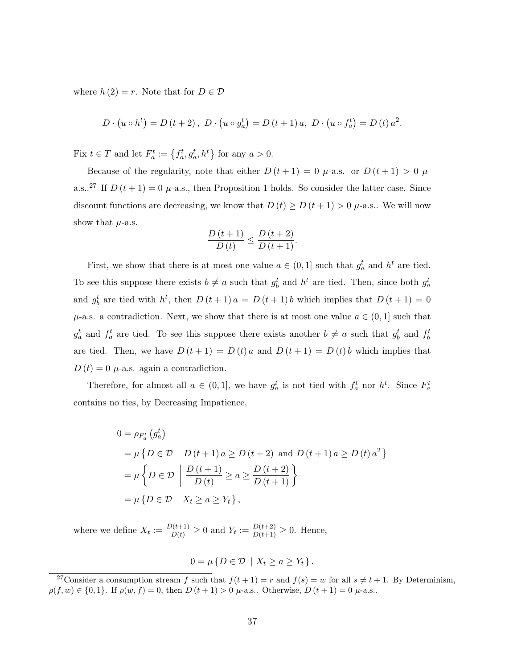where  $h(2) = r$ . Note that for  $D \in \mathcal{D}$ 

$$
D \cdot (u \circ h^{t}) = D(t + 2), \ D \cdot (u \circ g_{a}^{t}) = D(t + 1) a, \ D \cdot (u \circ f_{a}^{t}) = D(t) a^{2}.
$$

Fix  $t \in T$  and let  $F_a^t := \{f_a^t, g_a^t, h^t\}$  for any  $a > 0$ .

Because of the regularity, note that either  $D(t+1) = 0$   $\mu$ -a.s. or  $D(t+1) > 0$   $\mu$ a.s..<sup>27</sup> If  $D(t+1) = 0$   $\mu$ -a.s., then Proposition 1 holds. So consider the latter case. Since discount functions are decreasing, we know that  $D(t) \ge D(t+1) > 0$   $\mu$ -a.s.. We will now show that  $\mu$ -a.s.

$$
\frac{D(t+1)}{D(t)} \le \frac{D(t+2)}{D(t+1)}.
$$

First, we show that there is at most one value  $a \in (0,1]$  such that  $g_a^t$  and  $h^t$  are tied. To see this suppose there exists  $b \neq a$  such that  $g_b^t$  and  $h^t$  are tied. Then, since both  $g_a^t$ and  $g_b^t$  are tied with  $h^t$ , then  $D(t+1)a = D(t+1)b$  which implies that  $D(t+1) = 0$  $\mu$ -a.s. a contradiction. Next, we show that there is at most one value  $a \in (0,1]$  such that  $g_a^t$  and  $f_a^t$  are tied. To see this suppose there exists another  $b \neq a$  such that  $g_b^t$  and  $f_b^t$ are tied. Then, we have  $D(t+1) = D(t) a$  and  $D(t+1) = D(t) b$  which implies that  $D(t) = 0$   $\mu$ -a.s. again a contradiction.

Therefore, for almost all  $a \in (0,1]$ , we have  $g_a^t$  is not tied with  $f_a^t$  nor  $h^t$ . Since  $F_a^t$ contains no ties, by Decreasing Impatience,

$$
0 = \rho_{F_a^t} (g_a^t)
$$
  
=  $\mu \{ D \in \mathcal{D} \mid D(t+1) a \ge D(t+2) \text{ and } D(t+1) a \ge D(t) a^2 \}$   
=  $\mu \{ D \in \mathcal{D} \mid \frac{D(t+1)}{D(t)} \ge a \ge \frac{D(t+2)}{D(t+1)} \}$   
=  $\mu \{ D \in \mathcal{D} \mid X_t \ge a \ge Y_t \},$ 

where we define  $X_t := \frac{D(t+1)}{D(t)} \geq 0$  and  $Y_t := \frac{D(t+2)}{D(t+1)} \geq 0$ . Hence,

$$
0 = \mu \{ D \in \mathcal{D} \mid X_t \ge a \ge Y_t \}.
$$

<sup>&</sup>lt;sup>27</sup>Consider a consumption stream f such that  $f(t + 1) = r$  and  $f(s) = w$  for all  $s \neq t + 1$ . By Determinism,  $\rho(f, w) \in \{0, 1\}$ . If  $\rho(w, f) = 0$ , then  $D(t + 1) > 0$   $\mu$ -a.s.. Otherwise,  $D(t + 1) = 0$   $\mu$ -a.s..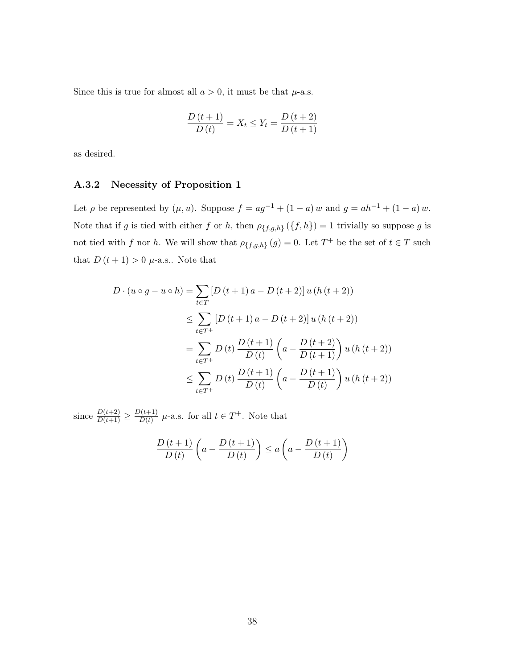Since this is true for almost all  $a > 0$ , it must be that  $\mu$ -a.s.

$$
\frac{D(t+1)}{D(t)} = X_t \le Y_t = \frac{D(t+2)}{D(t+1)}
$$

as desired.

#### A.3.2 Necessity of Proposition 1

Let  $\rho$  be represented by  $(\mu, u)$ . Suppose  $f = ag^{-1} + (1 - a) w$  and  $g = ah^{-1} + (1 - a) w$ . Note that if g is tied with either f or h, then  $\rho_{\{f,g,h\}}(\{f,h\}) = 1$  trivially so suppose g is not tied with f nor h. We will show that  $\rho_{\{f,g,h\}}(g) = 0$ . Let  $T^+$  be the set of  $t \in T$  such that  $D(t+1) > 0$   $\mu$ -a.s.. Note that

$$
D \cdot (u \circ g - u \circ h) = \sum_{t \in T} [D(t+1)a - D(t+2)] u (h(t+2))
$$
  
\n
$$
\leq \sum_{t \in T^+} [D(t+1)a - D(t+2)] u (h(t+2))
$$
  
\n
$$
= \sum_{t \in T^+} D(t) \frac{D(t+1)}{D(t)} \left( a - \frac{D(t+2)}{D(t+1)} \right) u (h(t+2))
$$
  
\n
$$
\leq \sum_{t \in T^+} D(t) \frac{D(t+1)}{D(t)} \left( a - \frac{D(t+1)}{D(t)} \right) u (h(t+2))
$$

since  $\frac{D(t+2)}{D(t+1)} \geq \frac{D(t+1)}{D(t)}$  $\frac{D(t+1)}{D(t)}$   $\mu$ -a.s. for all  $t \in T^+$ . Note that

$$
\frac{D(t+1)}{D(t)}\left(a-\frac{D(t+1)}{D(t)}\right)\leq a\left(a-\frac{D(t+1)}{D(t)}\right)
$$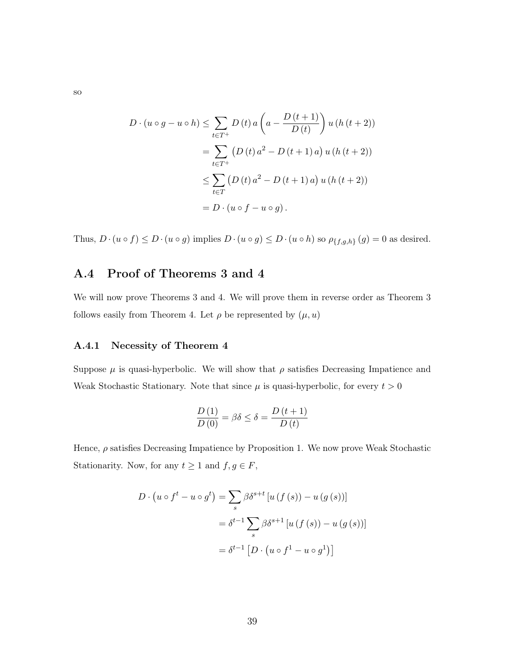$$
D \cdot (u \circ g - u \circ h) \le \sum_{t \in T^+} D(t) a \left( a - \frac{D(t+1)}{D(t)} \right) u (h(t+2))
$$
  
= 
$$
\sum_{t \in T^+} (D(t) a^2 - D(t+1) a) u (h(t+2))
$$
  

$$
\le \sum_{t \in T} (D(t) a^2 - D(t+1) a) u (h(t+2))
$$
  
= 
$$
D \cdot (u \circ f - u \circ g).
$$

Thus,  $D \cdot (u \circ f) \le D \cdot (u \circ g)$  implies  $D \cdot (u \circ g) \le D \cdot (u \circ h)$  so  $\rho_{\{f,g,h\}}(g) = 0$  as desired.

# A.4 Proof of Theorems 3 and 4

We will now prove Theorems 3 and 4. We will prove them in reverse order as Theorem 3 follows easily from Theorem 4. Let  $\rho$  be represented by  $(\mu, u)$ 

#### A.4.1 Necessity of Theorem 4

Suppose  $\mu$  is quasi-hyperbolic. We will show that  $\rho$  satisfies Decreasing Impatience and Weak Stochastic Stationary. Note that since  $\mu$  is quasi-hyperbolic, for every  $t > 0$ 

$$
\frac{D(1)}{D(0)} = \beta \delta \le \delta = \frac{D(t+1)}{D(t)}
$$

Hence,  $\rho$  satisfies Decreasing Impatience by Proposition 1. We now prove Weak Stochastic Stationarity. Now, for any  $t \ge 1$  and  $f, g \in F$ ,

$$
D \cdot (u \circ f^t - u \circ g^t) = \sum_s \beta \delta^{s+t} [u(f(s)) - u(g(s))]
$$
  

$$
= \delta^{t-1} \sum_s \beta \delta^{s+1} [u(f(s)) - u(g(s))]
$$
  

$$
= \delta^{t-1} [D \cdot (u \circ f^1 - u \circ g^1)]
$$

so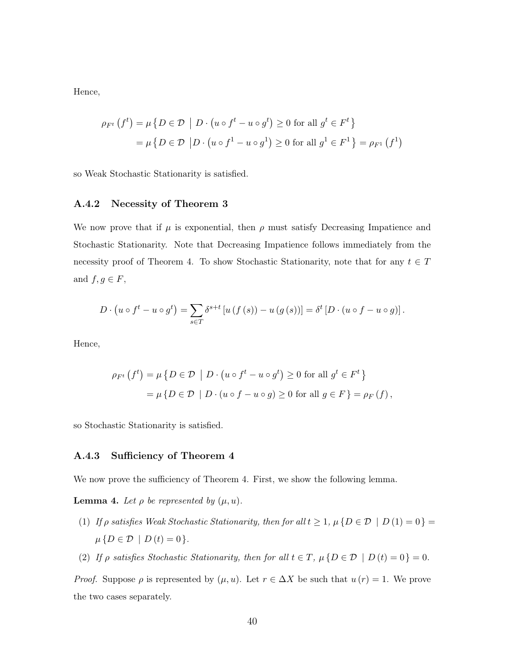Hence,

$$
\rho_{F^t}(f^t) = \mu \{ D \in \mathcal{D} \mid D \cdot (u \circ f^t - u \circ g^t) \ge 0 \text{ for all } g^t \in F^t \}
$$

$$
= \mu \{ D \in \mathcal{D} \mid D \cdot (u \circ f^1 - u \circ g^1) \ge 0 \text{ for all } g^1 \in F^1 \} = \rho_{F^1}(f^1)
$$

so Weak Stochastic Stationarity is satisfied.

#### A.4.2 Necessity of Theorem 3

We now prove that if  $\mu$  is exponential, then  $\rho$  must satisfy Decreasing Impatience and Stochastic Stationarity. Note that Decreasing Impatience follows immediately from the necessity proof of Theorem 4. To show Stochastic Stationarity, note that for any  $t \in T$ and  $f, g \in F$ ,

$$
D \cdot \left( u \circ f^t - u \circ g^t \right) = \sum_{s \in T} \delta^{s+t} \left[ u \left( f \left( s \right) \right) - u \left( g \left( s \right) \right) \right] = \delta^t \left[ D \cdot \left( u \circ f - u \circ g \right) \right].
$$

Hence,

$$
\rho_{F^t}(f^t) = \mu \{ D \in \mathcal{D} \mid D \cdot (u \circ f^t - u \circ g^t) \ge 0 \text{ for all } g^t \in F^t \}
$$
  
= 
$$
\mu \{ D \in \mathcal{D} \mid D \cdot (u \circ f - u \circ g) \ge 0 \text{ for all } g \in F \} = \rho_F(f),
$$

so Stochastic Stationarity is satisfied.

#### A.4.3 Sufficiency of Theorem 4

We now prove the sufficiency of Theorem 4. First, we show the following lemma.

**Lemma 4.** Let  $\rho$  be represented by  $(\mu, u)$ .

- (1) If  $\rho$  satisfies Weak Stochastic Stationarity, then for all  $t \geq 1$ ,  $\mu \{D \in \mathcal{D} \mid D(1) = 0\}$  $\mu\left\{D \in \mathcal{D} \mid D(t) = 0\right\}.$
- (2) If  $\rho$  satisfies Stochastic Stationarity, then for all  $t \in T$ ,  $\mu \{D \in \mathcal{D} \mid D(t) = 0\} = 0$ .

*Proof.* Suppose  $\rho$  is represented by  $(\mu, u)$ . Let  $r \in \Delta X$  be such that  $u(r) = 1$ . We prove the two cases separately.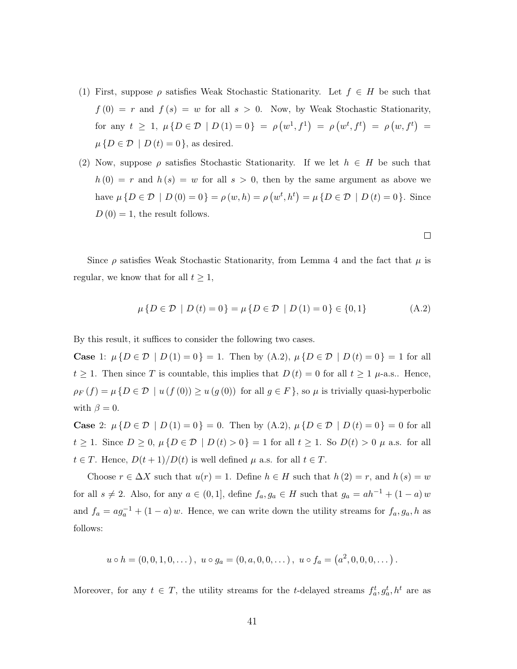- (1) First, suppose  $\rho$  satisfies Weak Stochastic Stationarity. Let  $f \in H$  be such that  $f(0) = r$  and  $f(s) = w$  for all  $s > 0$ . Now, by Weak Stochastic Stationarity, for any  $t \geq 1$ ,  $\mu\{D \in \mathcal{D} \mid D(1) = 0\} = \rho(w^1, f^1) = \rho(w^t, f^t) = \rho(w, f^t) =$  $\mu\{D \in \mathcal{D} \mid D(t) = 0\}$ , as desired.
- (2) Now, suppose  $\rho$  satisfies Stochastic Stationarity. If we let  $h \in H$  be such that  $h(0) = r$  and  $h(s) = w$  for all  $s > 0$ , then by the same argument as above we have  $\mu\{D \in \mathcal{D} \mid D(0) = 0\} = \rho(w, h) = \rho(w^t, h^t) = \mu\{D \in \mathcal{D} \mid D(t) = 0\}.$  Since  $D(0) = 1$ , the result follows.

Since  $\rho$  satisfies Weak Stochastic Stationarity, from Lemma 4 and the fact that  $\mu$  is regular, we know that for all  $t \geq 1$ ,

$$
\mu\{D \in \mathcal{D} \mid D(t) = 0\} = \mu\{D \in \mathcal{D} \mid D(1) = 0\} \in \{0, 1\}
$$
 (A.2)

By this result, it suffices to consider the following two cases.

Case 1:  $\mu\{D \in \mathcal{D} \mid D(1) = 0\} = 1$ . Then by (A.2),  $\mu\{D \in \mathcal{D} \mid D(t) = 0\} = 1$  for all  $t \geq 1$ . Then since T is countable, this implies that  $D(t) = 0$  for all  $t \geq 1$   $\mu$ -a.s.. Hence,  $\rho_F(f) = \mu\{D \in \mathcal{D} \mid u(f(0)) \geq u(g(0)) \text{ for all } g \in F\}$ , so  $\mu$  is trivially quasi-hyperbolic with  $\beta = 0$ .

Case 2:  $\mu\{D \in \mathcal{D} \mid D(1) = 0\} = 0$ . Then by (A.2),  $\mu\{D \in \mathcal{D} \mid D(t) = 0\} = 0$  for all  $t \ge 1$ . Since  $D \ge 0$ ,  $\mu\{D \in \mathcal{D} \mid D(t) > 0\} = 1$  for all  $t \ge 1$ . So  $D(t) > 0$   $\mu$  a.s. for all  $t \in T$ . Hence,  $D(t+1)/D(t)$  is well defined  $\mu$  a.s. for all  $t \in T$ .

Choose  $r \in \Delta X$  such that  $u(r) = 1$ . Define  $h \in H$  such that  $h(2) = r$ , and  $h(s) = w$ for all  $s \neq 2$ . Also, for any  $a \in (0,1]$ , define  $f_a, g_a \in H$  such that  $g_a = ah^{-1} + (1 - a) w$ and  $f_a = ag_a^{-1} + (1 - a) w$ . Hence, we can write down the utility streams for  $f_a, g_a, h$  as follows:

$$
u \circ h = (0, 0, 1, 0, ...), \ u \circ g_a = (0, a, 0, 0, ...), \ u \circ f_a = (a^2, 0, 0, 0, ...).
$$

Moreover, for any  $t \in T$ , the utility streams for the t-delayed streams  $f_a^t, g_a^t, h^t$  are as

 $\Box$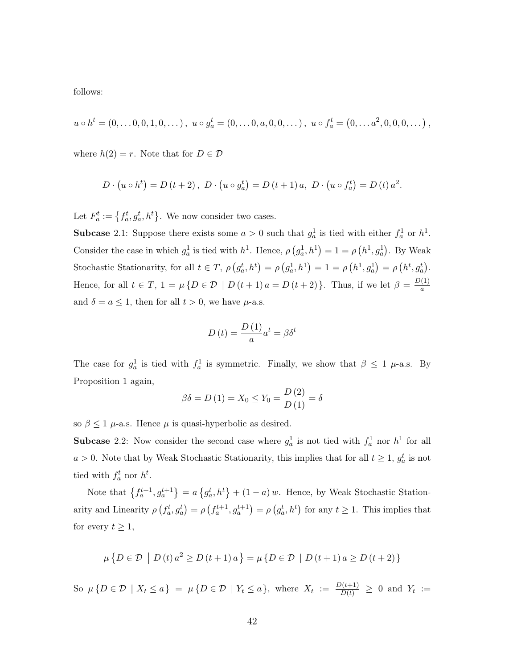follows:

$$
u \circ h^{t} = (0, \ldots, 0, 0, 1, 0, \ldots), \ u \circ g^{t}_{a} = (0, \ldots, 0, a, 0, 0, \ldots), \ u \circ f^{t}_{a} = (0, \ldots, a^{2}, 0, 0, 0, \ldots),
$$

where  $h(2) = r$ . Note that for  $D \in \mathcal{D}$ 

$$
D \cdot (u \circ h^{t}) = D(t + 2), \ D \cdot (u \circ g_{a}^{t}) = D(t + 1) a, \ D \cdot (u \circ f_{a}^{t}) = D(t) a^{2}.
$$

Let  $F_a^t := \{f_a^t, g_a^t, h^t\}$ . We now consider two cases.

**Subcase** 2.1: Suppose there exists some  $a > 0$  such that  $g_a^1$  is tied with either  $f_a^1$  or  $h^1$ . Consider the case in which  $g_a^1$  is tied with  $h^1$ . Hence,  $\rho(g_a^1, h^1) = 1 = \rho(h^1, g_a^1)$ . By Weak Stochastic Stationarity, for all  $t \in T$ ,  $\rho(g_a^t, h^t) = \rho(g_a^1, h^1) = 1 = \rho(h^1, g_a^1) = \rho(h^t, g_a^t)$ . Hence, for all  $t \in T$ ,  $1 = \mu \{D \in \mathcal{D} \mid D(t+1) a = D(t+2) \}$ . Thus, if we let  $\beta = \frac{D(1)}{a}$ a and  $\delta = a \leq 1$ , then for all  $t > 0$ , we have  $\mu$ -a.s.

$$
D(t) = \frac{D(1)}{a}a^{t} = \beta \delta^{t}
$$

The case for  $g_a^1$  is tied with  $f_a^1$  is symmetric. Finally, we show that  $\beta \leq 1$   $\mu$ -a.s. By Proposition 1 again,

$$
\beta \delta = D(1) = X_0 \le Y_0 = \frac{D(2)}{D(1)} = \delta
$$

so  $\beta \leq 1$   $\mu$ -a.s. Hence  $\mu$  is quasi-hyperbolic as desired.

**Subcase** 2.2: Now consider the second case where  $g_a^1$  is not tied with  $f_a^1$  nor  $h^1$  for all  $a > 0$ . Note that by Weak Stochastic Stationarity, this implies that for all  $t \geq 1$ ,  $g_a^t$  is not tied with  $f_a^t$  nor  $h^t$ .

Note that  $\{f_a^{t+1}, g_a^{t+1}\} = a\{g_a^t, h^t\} + (1 - a) w$ . Hence, by Weak Stochastic Stationarity and Linearity  $\rho(f_a^t, g_a^t) = \rho(f_a^{t+1}, g_a^{t+1}) = \rho(g_a^t, h^t)$  for any  $t \ge 1$ . This implies that for every  $t \geq 1$ ,

$$
\mu\left\{D \in \mathcal{D} \mid D(t) a^2 \ge D(t+1) a\right\} = \mu\left\{D \in \mathcal{D} \mid D(t+1) a \ge D(t+2)\right\}
$$

So  $\mu\{D \in \mathcal{D} \mid X_t \le a\} = \mu\{D \in \mathcal{D} \mid Y_t \le a\}$ , where  $X_t := \frac{D(t+1)}{D(t)} \ge 0$  and  $Y_t :=$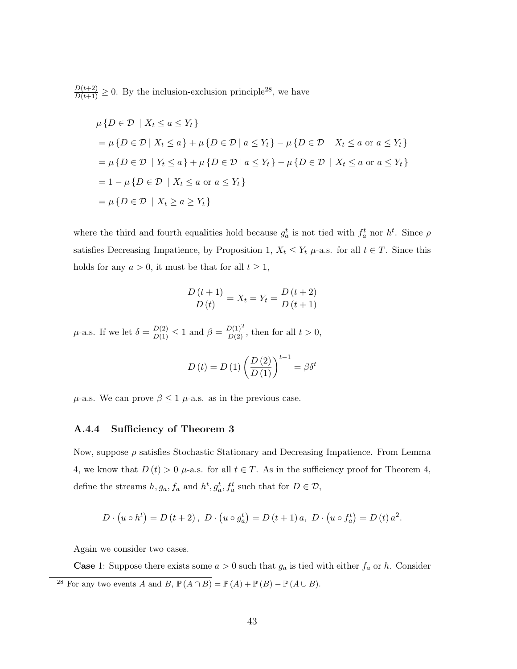$\frac{D(t+2)}{D(t+1)} \geq 0$ . By the inclusion-exclusion principle<sup>28</sup>, we have

$$
\mu\{D \in \mathcal{D} \mid X_t \le a \le Y_t\}
$$
\n
$$
= \mu\{D \in \mathcal{D} \mid X_t \le a\} + \mu\{D \in \mathcal{D} \mid a \le Y_t\} - \mu\{D \in \mathcal{D} \mid X_t \le a \text{ or } a \le Y_t\}
$$
\n
$$
= \mu\{D \in \mathcal{D} \mid Y_t \le a\} + \mu\{D \in \mathcal{D} \mid a \le Y_t\} - \mu\{D \in \mathcal{D} \mid X_t \le a \text{ or } a \le Y_t\}
$$
\n
$$
= 1 - \mu\{D \in \mathcal{D} \mid X_t \le a \text{ or } a \le Y_t\}
$$
\n
$$
= \mu\{D \in \mathcal{D} \mid X_t \ge a \ge Y_t\}
$$

where the third and fourth equalities hold because  $g_a^t$  is not tied with  $f_a^t$  nor  $h^t$ . Since  $\rho$ satisfies Decreasing Impatience, by Proposition 1,  $X_t \leq Y_t$   $\mu$ -a.s. for all  $t \in T$ . Since this holds for any  $a > 0$ , it must be that for all  $t \geq 1$ ,

$$
\frac{D(t+1)}{D(t)} = X_t = Y_t = \frac{D(t+2)}{D(t+1)}
$$

 $\mu$ -a.s. If we let  $\delta = \frac{D(2)}{D(1)} \leq 1$  and  $\beta = \frac{D(1)^2}{D(2)}$ , then for all  $t > 0$ ,

$$
D(t) = D(1) \left(\frac{D(2)}{D(1)}\right)^{t-1} = \beta \delta^t
$$

 $\mu$ -a.s. We can prove  $\beta \leq 1$   $\mu$ -a.s. as in the previous case.

#### A.4.4 Sufficiency of Theorem 3

Now, suppose  $\rho$  satisfies Stochastic Stationary and Decreasing Impatience. From Lemma 4, we know that  $D(t) > 0$   $\mu$ -a.s. for all  $t \in T$ . As in the sufficiency proof for Theorem 4, define the streams  $h, g_a, f_a$  and  $h^t, g_a^t, f_a^t$  such that for  $D \in \mathcal{D}$ ,

$$
D \cdot (u \circ h^{t}) = D(t + 2), \ D \cdot (u \circ g_{a}^{t}) = D(t + 1) a, \ D \cdot (u \circ f_{a}^{t}) = D(t) a^{2}.
$$

Again we consider two cases.

**Case** 1: Suppose there exists some  $a > 0$  such that  $g_a$  is tied with either  $f_a$  or h. Consider <sup>28</sup> For any two events A and B,  $\mathbb{P}(A \cap B) = \mathbb{P}(A) + \mathbb{P}(B) - \mathbb{P}(A \cup B)$ .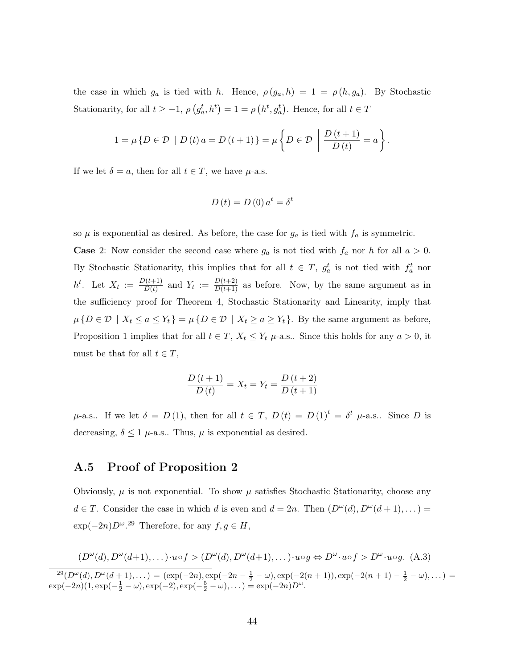the case in which  $g_a$  is tied with h. Hence,  $\rho(g_a, h) = 1 = \rho(h, g_a)$ . By Stochastic Stationarity, for all  $t \ge -1$ ,  $\rho(g_a^t, h^t) = 1 = \rho(h^t, g_a^t)$ . Hence, for all  $t \in T$ 

$$
1 = \mu \{ D \in \mathcal{D} \mid D(t) a = D(t+1) \} = \mu \left\{ D \in \mathcal{D} \mid \frac{D(t+1)}{D(t)} = a \right\}.
$$

If we let  $\delta = a$ , then for all  $t \in T$ , we have  $\mu$ -a.s.

$$
D(t) = D(0) a^t = \delta^t
$$

so  $\mu$  is exponential as desired. As before, the case for  $g_a$  is tied with  $f_a$  is symmetric.

**Case** 2: Now consider the second case where  $g_a$  is not tied with  $f_a$  nor h for all  $a > 0$ . By Stochastic Stationarity, this implies that for all  $t \in T$ ,  $g_a^t$  is not tied with  $f_a^t$  nor  $h^t$ . Let  $X_t := \frac{D(t+1)}{D(t)}$  $\frac{D(t+1)}{D(t)}$  and  $Y_t := \frac{D(t+2)}{D(t+1)}$  as before. Now, by the same argument as in the sufficiency proof for Theorem 4, Stochastic Stationarity and Linearity, imply that  $\mu\{D \in \mathcal{D} \mid X_t \leq a \leq Y_t\} = \mu\{D \in \mathcal{D} \mid X_t \geq a \geq Y_t\}.$  By the same argument as before, Proposition 1 implies that for all  $t \in T$ ,  $X_t \leq Y_t$   $\mu$ -a.s.. Since this holds for any  $a > 0$ , it must be that for all  $t \in T$ ,

$$
\frac{D(t+1)}{D(t)} = X_t = Y_t = \frac{D(t+2)}{D(t+1)}
$$

 $\mu$ -a.s.. If we let  $\delta = D(1)$ , then for all  $t \in T$ ,  $D(t) = D(1)^t = \delta^t \mu$ -a.s.. Since D is decreasing,  $\delta \leq 1$   $\mu$ -a.s.. Thus,  $\mu$  is exponential as desired.

#### A.5 Proof of Proposition 2

Obviously,  $\mu$  is not exponential. To show  $\mu$  satisfies Stochastic Stationarity, choose any  $d \in T$ . Consider the case in which d is even and  $d = 2n$ . Then  $(D^{\omega}(d), D^{\omega}(d+1), ...)$  $\exp(-2n)D^{\omega}$ .<sup>29</sup> Therefore, for any  $f, g \in H$ ,

$$
(D^{\omega}(d), D^{\omega}(d+1), \dots) \cdot u \circ f > (D^{\omega}(d), D^{\omega}(d+1), \dots) \cdot u \circ g \Leftrightarrow D^{\omega} \cdot u \circ f > D^{\omega} \cdot u \circ g. \tag{A.3}
$$

 $2^9(D^{\omega}(d), D^{\omega}(d+1), \dots) = (\exp(-2n), \exp(-2n - \frac{1}{2} - \omega), \exp(-2(n+1)), \exp(-2(n+1) - \frac{1}{2} - \omega), \dots) =$  $\exp(-2n)(1, \exp(-\frac{1}{2}-\omega), \exp(-2), \exp(-\frac{5}{2}-\omega), \dots) = \exp(-2n)D^{\omega}.$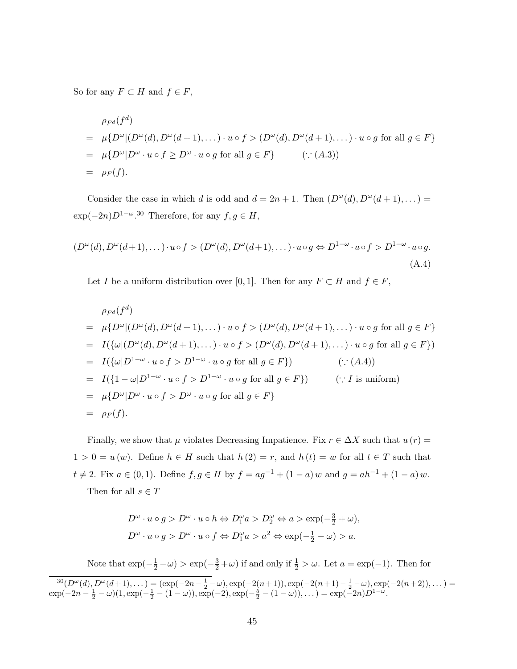So for any  $F \subset H$  and  $f \in F$ ,

$$
\rho_{F^d}(f^d)
$$
\n
$$
= \mu\{D^{\omega}|(D^{\omega}(d), D^{\omega}(d+1), \dots) \cdot u \circ f > (D^{\omega}(d), D^{\omega}(d+1), \dots) \cdot u \circ g \text{ for all } g \in F\}
$$
\n
$$
= \mu\{D^{\omega}|D^{\omega} \cdot u \circ f \ge D^{\omega} \cdot u \circ g \text{ for all } g \in F\} \qquad (\because (A.3))
$$
\n
$$
= \rho_F(f).
$$

Consider the case in which d is odd and  $d = 2n + 1$ . Then  $(D^{\omega}(d), D^{\omega}(d+1), ...)$  $\exp(-2n)D^{1-\omega}$ <sup>30</sup> Therefore, for any  $f, g \in H$ ,

$$
(D^{\omega}(d), D^{\omega}(d+1), \dots) \cdot u \circ f > (D^{\omega}(d), D^{\omega}(d+1), \dots) \cdot u \circ g \Leftrightarrow D^{1-\omega} \cdot u \circ f > D^{1-\omega} \cdot u \circ g.
$$
\n(A.4)

Let I be a uniform distribution over [0, 1]. Then for any  $F \subset H$  and  $f \in F$ ,

$$
\rho_{F^d}(f^d)
$$
\n
$$
= \mu\{D^{\omega}|(D^{\omega}(d), D^{\omega}(d+1), \dots) \cdot u \circ f > (D^{\omega}(d), D^{\omega}(d+1), \dots) \cdot u \circ g \text{ for all } g \in F\}
$$
\n
$$
= I(\{\omega|(D^{\omega}(d), D^{\omega}(d+1), \dots) \cdot u \circ f > (D^{\omega}(d), D^{\omega}(d+1), \dots) \cdot u \circ g \text{ for all } g \in F\})
$$
\n
$$
= I(\{\omega|D^{1-\omega} \cdot u \circ f > D^{1-\omega} \cdot u \circ g \text{ for all } g \in F\}) \qquad (\because (A.4))
$$
\n
$$
= I(\{1-\omega|D^{1-\omega} \cdot u \circ f > D^{1-\omega} \cdot u \circ g \text{ for all } g \in F\}) \qquad (\because I \text{ is uniform})
$$
\n
$$
= \mu\{D^{\omega}|D^{\omega} \cdot u \circ f > D^{\omega} \cdot u \circ g \text{ for all } g \in F\}
$$
\n
$$
= \rho_F(f).
$$

Finally, we show that  $\mu$  violates Decreasing Impatience. Fix  $r \in \Delta X$  such that  $u(r) =$  $1 > 0 = u(w)$ . Define  $h \in H$  such that  $h(2) = r$ , and  $h(t) = w$  for all  $t \in T$  such that  $t \neq 2$ . Fix  $a \in (0,1)$ . Define  $f, g \in H$  by  $f = ag^{-1} + (1 - a) w$  and  $g = ah^{-1} + (1 - a) w$ . Then for all  $s \in T$ 

$$
D^{\omega} \cdot u \circ g > D^{\omega} \cdot u \circ h \Leftrightarrow D_1^{\omega} a > D_2^{\omega} \Leftrightarrow a > \exp(-\frac{3}{2} + \omega),
$$
  

$$
D^{\omega} \cdot u \circ g > D^{\omega} \cdot u \circ f \Leftrightarrow D_1^{\omega} a > a^2 \Leftrightarrow \exp(-\frac{1}{2} - \omega) > a.
$$

Note that  $\exp(-\frac{1}{2}-\omega) > \exp(-\frac{3}{2}+\omega)$  if and only if  $\frac{1}{2} > \omega$ . Let  $a = \exp(-1)$ . Then for  ${}^{30}(D^{\omega}(d), D^{\omega}(d+1), \dots) = (\exp(-2n - \frac{1}{2} - \omega), \exp(-2(n+1)), \exp(-2(n+1) - \frac{1}{2} - \omega), \exp(-2(n+2)), \dots) =$  $\exp(-2n - \frac{1}{2} - \omega)(1, \exp(-\frac{1}{2} - (1 - \omega)), \exp(-2), \exp(-\frac{5}{2} - (1 - \omega)), \dots) = \exp(-2n)D^{1 - \omega}.$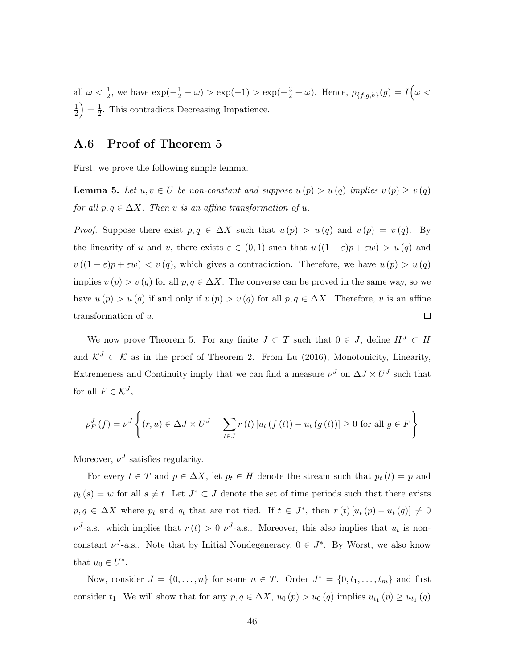all  $\omega < \frac{1}{2}$ , we have  $\exp(-\frac{1}{2} - \omega) > \exp(-1) > \exp(-\frac{3}{2} + \omega)$ . Hence,  $\rho_{\{f,g,h\}}(g) = I(\omega <$ 1  $\frac{1}{2}$  =  $\frac{1}{2}$  $\frac{1}{2}$ . This contradicts Decreasing Impatience.

### A.6 Proof of Theorem 5

First, we prove the following simple lemma.

**Lemma 5.** Let  $u, v \in U$  be non-constant and suppose  $u(p) > u(q)$  implies  $v(p) \geq v(q)$ for all  $p, q \in \Delta X$ . Then v is an affine transformation of u.

*Proof.* Suppose there exist  $p, q \in \Delta X$  such that  $u(p) > u(q)$  and  $v(p) = v(q)$ . By the linearity of u and v, there exists  $\varepsilon \in (0,1)$  such that  $u((1-\varepsilon)p + \varepsilon w) > u(q)$  and  $v((1 - \varepsilon)p + \varepsilon w) < v(q)$ , which gives a contradiction. Therefore, we have  $u(p) > u(q)$ implies  $v(p) > v(q)$  for all  $p, q \in \Delta X$ . The converse can be proved in the same way, so we have  $u(p) > u(q)$  if and only if  $v(p) > v(q)$  for all  $p, q \in \Delta X$ . Therefore, v is an affine transformation of u.  $\Box$ 

We now prove Theorem 5. For any finite  $J \subset T$  such that  $0 \in J$ , define  $H^J \subset H$ and  $\mathcal{K}^J \subset \mathcal{K}$  as in the proof of Theorem 2. From Lu (2016), Monotonicity, Linearity, Extremeness and Continuity imply that we can find a measure  $\nu^J$  on  $\Delta J \times U^J$  such that for all  $F \in \mathcal{K}^J$ ,

$$
\rho_F^J(f) = \nu^J \left\{ (r, u) \in \Delta J \times U^J \middle| \sum_{t \in J} r(t) \left[ u_t(f(t)) - u_t(g(t)) \right] \ge 0 \text{ for all } g \in F \right\}
$$

Moreover,  $\nu^J$  satisfies regularity.

For every  $t \in T$  and  $p \in \Delta X$ , let  $p_t \in H$  denote the stream such that  $p_t(t) = p$  and  $p_t(s) = w$  for all  $s \neq t$ . Let  $J^* \subset J$  denote the set of time periods such that there exists  $p, q \in \Delta X$  where  $p_t$  and  $q_t$  that are not tied. If  $t \in J^*$ , then  $r(t) [u_t(p) - u_t(q)] \neq 0$  $\nu^{J}$ -a.s. which implies that  $r(t) > 0$   $\nu^{J}$ -a.s.. Moreover, this also implies that  $u_{t}$  is nonconstant  $\nu^J$ -a.s.. Note that by Initial Nondegeneracy,  $0 \in J^*$ . By Worst, we also know that  $u_0 \in U^*$ .

Now, consider  $J = \{0, \ldots, n\}$  for some  $n \in T$ . Order  $J^* = \{0, t_1, \ldots, t_m\}$  and first consider  $t_1$ . We will show that for any  $p, q \in \Delta X$ ,  $u_0(p) > u_0(q)$  implies  $u_{t_1}(p) \ge u_{t_1}(q)$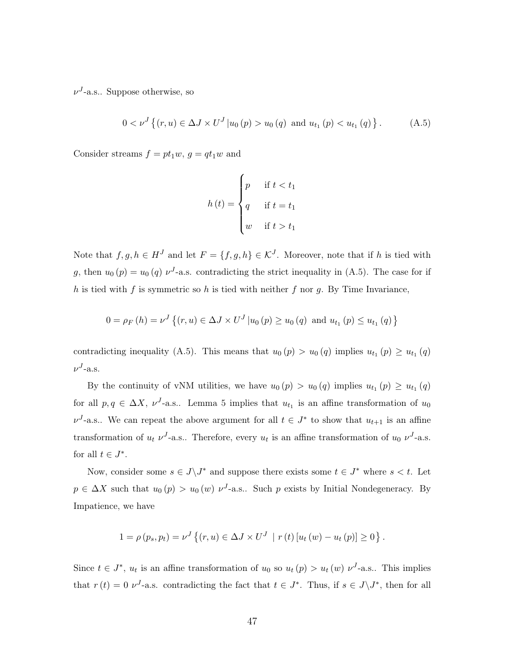$\nu^{J}$ -a.s.. Suppose otherwise, so

$$
0 < \nu^{J} \left\{ (r, u) \in \Delta J \times U^{J} \middle| u_{0} \left( p \right) > u_{0} \left( q \right) \text{ and } u_{t_{1}} \left( p \right) < u_{t_{1}} \left( q \right) \right\}.
$$
 (A.5)

Consider streams  $f = pt_1w$ ,  $g = qt_1w$  and

$$
h(t) = \begin{cases} p & \text{if } t < t_1 \\ q & \text{if } t = t_1 \\ w & \text{if } t > t_1 \end{cases}
$$

Note that  $f, g, h \in H^J$  and let  $F = \{f, g, h\} \in \mathcal{K}^J$ . Moreover, note that if h is tied with g, then  $u_0(p) = u_0(q) \nu^{J}$ -a.s. contradicting the strict inequality in (A.5). The case for if h is tied with f is symmetric so h is tied with neither f nor q. By Time Invariance,

$$
0 = \rho_F(h) = \nu^J \left\{ (r, u) \in \Delta J \times U^J \, | u_0 \left( p \right) \geq u_0 \left( q \right) \text{ and } u_{t_1} \left( p \right) \leq u_{t_1} \left( q \right) \right\}
$$

contradicting inequality (A.5). This means that  $u_0(p) > u_0(q)$  implies  $u_{t_1}(p) \ge u_{t_1}(q)$  $\nu^{J}$ -a.s.

By the continuity of vNM utilities, we have  $u_0(p) > u_0(q)$  implies  $u_{t_1}(p) \ge u_{t_1}(q)$ for all  $p, q \in \Delta X$ ,  $\nu^{J}$ -a.s.. Lemma 5 implies that  $u_{t_1}$  is an affine transformation of  $u_0$  $\nu^{J}$ -a.s.. We can repeat the above argument for all  $t \in J^*$  to show that  $u_{t+1}$  is an affine transformation of  $u_t$   $\nu^J$ -a.s.. Therefore, every  $u_t$  is an affine transformation of  $u_0$   $\nu^J$ -a.s. for all  $t \in J^*$ .

Now, consider some  $s \in J \backslash J^*$  and suppose there exists some  $t \in J^*$  where  $s < t$ . Let  $p \in \Delta X$  such that  $u_0(p) > u_0(w) \nu^{J}$ -a.s.. Such p exists by Initial Nondegeneracy. By Impatience, we have

$$
1 = \rho(p_s, p_t) = \nu^J \left\{ (r, u) \in \Delta J \times U^J \: | \: r(t) [u_t(w) - u_t(p)] \ge 0 \right\}.
$$

Since  $t \in J^*$ ,  $u_t$  is an affine transformation of  $u_0$  so  $u_t(p) > u_t(w) \nu^{J}$ -a.s.. This implies that  $r(t) = 0$   $\nu^{J}$ -a.s. contradicting the fact that  $t \in J^*$ . Thus, if  $s \in J \backslash J^*$ , then for all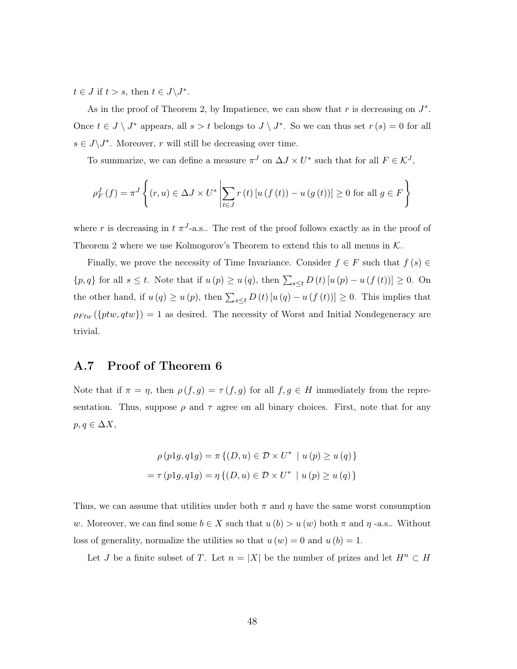$t \in J$  if  $t > s$ , then  $t \in J\backslash J^*$ .

As in the proof of Theorem 2, by Impatience, we can show that  $r$  is decreasing on  $J^*$ . Once  $t \in J \setminus J^*$  appears, all  $s > t$  belongs to  $J \setminus J^*$ . So we can thus set  $r(s) = 0$  for all  $s \in J\backslash J^*$ . Moreover, r will still be decreasing over time.

To summarize, we can define a measure  $\pi^{J}$  on  $\Delta J \times U^*$  such that for all  $F \in \mathcal{K}^{J}$ ,

$$
\rho_F^J(f) = \pi^J \left\{ (r, u) \in \Delta J \times U^* \middle| \sum_{t \in J} r(t) \left[ u(f(t)) - u(g(t)) \right] \ge 0 \text{ for all } g \in F \right\}
$$

where r is decreasing in  $t \pi^{J}$ -a.s.. The rest of the proof follows exactly as in the proof of Theorem 2 where we use Kolmogorov's Theorem to extend this to all menus in  $K$ .

Finally, we prove the necessity of Time Invariance. Consider  $f \in F$  such that  $f(s) \in$  $\{p, q\}$  for all  $s \leq t$ . Note that if  $u(p) \geq u(q)$ , then  $\sum_{s \leq t} D(t) [u(p) - u(f(t))] \geq 0$ . On the other hand, if  $u(q) \geq u(p)$ , then  $\sum_{s \leq t} D(t) [u(q) - u(f(t))] \geq 0$ . This implies that  $\rho_{Ftw}(\{ptw, qtw\}) = 1$  as desired. The necessity of Worst and Initial Nondegeneracy are trivial.

### A.7 Proof of Theorem 6

Note that if  $\pi = \eta$ , then  $\rho(f,g) = \tau(f,g)$  for all  $f,g \in H$  immediately from the representation. Thus, suppose  $\rho$  and  $\tau$  agree on all binary choices. First, note that for any  $p, q \in \Delta X,$ 

$$
\rho(p1g, q1g) = \pi \{ (D, u) \in \mathcal{D} \times U^* \mid u(p) \ge u(q) \}
$$

$$
= \tau (p1g, q1g) = \eta \{ (D, u) \in \mathcal{D} \times U^* \mid u(p) \ge u(q) \}
$$

Thus, we can assume that utilities under both  $\pi$  and  $\eta$  have the same worst consumption w. Moreover, we can find some  $b \in X$  such that  $u(b) > u(w)$  both  $\pi$  and  $\eta$ -a.s.. Without loss of generality, normalize the utilities so that  $u(w) = 0$  and  $u(b) = 1$ .

Let J be a finite subset of T. Let  $n = |X|$  be the number of prizes and let  $H^n \subset H$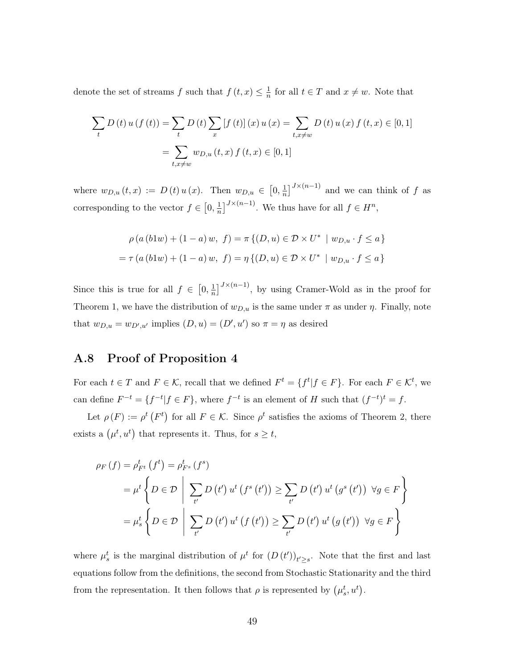denote the set of streams  $f$  such that  $f(t, x) \leq \frac{1}{n}$  $\frac{1}{n}$  for all  $t \in T$  and  $x \neq w$ . Note that

$$
\sum_{t} D(t) u(f(t)) = \sum_{t} D(t) \sum_{x} [f(t)](x) u(x) = \sum_{t, x \neq w} D(t) u(x) f(t, x) \in [0, 1]
$$

$$
= \sum_{t, x \neq w} w_{D,u}(t, x) f(t, x) \in [0, 1]
$$

where  $w_{D,u}(t,x) := D(t) u(x)$ . Then  $w_{D,u} \in [0, \frac{1}{n}]$  $\frac{1}{n}$ ]<sup> $J \times (n-1)$ </sup> and we can think of f as corresponding to the vector  $f \in \left[0, \frac{1}{n}\right]$  $\frac{1}{n}$ ]<sup> $J \times (n-1)$ </sup>. We thus have for all  $f \in H^n$ ,

$$
\rho(a (b1w) + (1 - a) w, f) = \pi \{ (D, u) \in \mathcal{D} \times U^* \mid w_{D, u} \cdot f \le a \}
$$
  
=  $\tau (a (b1w) + (1 - a) w, f) = \eta \{ (D, u) \in \mathcal{D} \times U^* \mid w_{D, u} \cdot f \le a \}$ 

Since this is true for all  $f \in [0, \frac{1}{n}]$  $\frac{1}{n}$ <sup>J</sup><sup> $J \times (n-1)$ </sup>, by using Cramer-Wold as in the proof for Theorem 1, we have the distribution of  $w_{D,u}$  is the same under  $\pi$  as under  $\eta$ . Finally, note that  $w_{D,u} = w_{D',u'}$  implies  $(D, u) = (D', u')$  so  $\pi = \eta$  as desired

# A.8 Proof of Proposition 4

For each  $t \in T$  and  $F \in \mathcal{K}$ , recall that we defined  $F^t = \{f^t | f \in F\}$ . For each  $F \in \mathcal{K}^t$ , we can define  $F^{-t} = \{f^{-t} | f \in F\}$ , where  $f^{-t}$  is an element of H such that  $(f^{-t})^t = f$ .

Let  $\rho(F) := \rho^t(F^t)$  for all  $F \in \mathcal{K}$ . Since  $\rho^t$  satisfies the axioms of Theorem 2, there exists a  $(\mu^t, u^t)$  that represents it. Thus, for  $s \geq t$ ,

$$
\rho_F(f) = \rho_{F^t}^t(f^t) = \rho_{F^s}^t(f^s)
$$
  
=  $\mu^t \left\{ D \in \mathcal{D} \mid \sum_{t'} D(t') u^t(f^s(t')) \ge \sum_{t'} D(t') u^t(g^s(t')) \ \forall g \in F \right\}$   
=  $\mu_s^t \left\{ D \in \mathcal{D} \mid \sum_{t'} D(t') u^t(f(t')) \ge \sum_{t'} D(t') u^t(g(t')) \ \forall g \in F \right\}$ 

where  $\mu_s^t$  is the marginal distribution of  $\mu^t$  for  $(D(t'))_{t'\geq s}$ . Note that the first and last equations follow from the definitions, the second from Stochastic Stationarity and the third from the representation. It then follows that  $\rho$  is represented by  $(\mu_s^t, u^t)$ .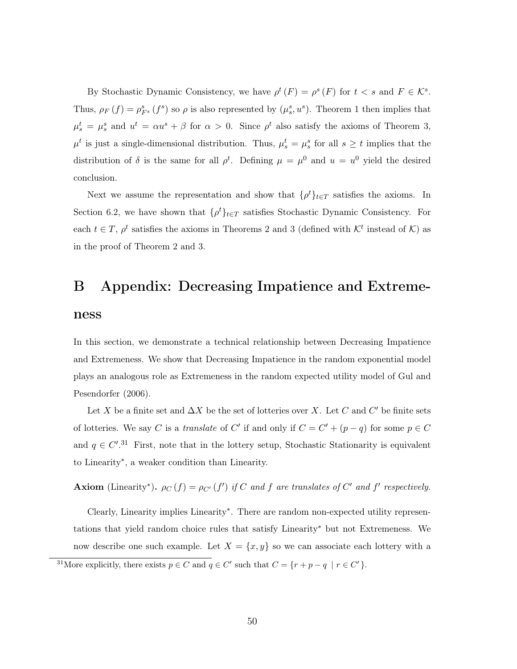By Stochastic Dynamic Consistency, we have  $\rho^t(F) = \rho^s(F)$  for  $t < s$  and  $F \in \mathcal{K}^s$ . Thus,  $\rho_F(f) = \rho_{F^s}^s(f^s)$  so  $\rho$  is also represented by  $(\mu_s^s, u^s)$ . Theorem 1 then implies that  $\mu_s^t = \mu_s^s$  and  $u^t = \alpha u^s + \beta$  for  $\alpha > 0$ . Since  $\rho^t$  also satisfy the axioms of Theorem 3,  $\mu^t$  is just a single-dimensional distribution. Thus,  $\mu^t_s = \mu^s_s$  for all  $s \geq t$  implies that the distribution of  $\delta$  is the same for all  $\rho^t$ . Defining  $\mu = \mu^0$  and  $u = u^0$  yield the desired conclusion.

Next we assume the representation and show that  $\{\rho^t\}_{t\in T}$  satisfies the axioms. In Section 6.2, we have shown that  $\{\rho^t\}_{t\in\mathcal{T}}$  satisfies Stochastic Dynamic Consistency. For each  $t \in T$ ,  $\rho^t$  satisfies the axioms in Theorems 2 and 3 (defined with  $\mathcal{K}^t$  instead of  $\mathcal{K}$ ) as in the proof of Theorem 2 and 3.

# B Appendix: Decreasing Impatience and Extreme-

#### ness

In this section, we demonstrate a technical relationship between Decreasing Impatience and Extremeness. We show that Decreasing Impatience in the random exponential model plays an analogous role as Extremeness in the random expected utility model of Gul and Pesendorfer (2006).

Let X be a finite set and  $\Delta X$  be the set of lotteries over X. Let C and C' be finite sets of lotteries. We say C is a *translate* of C' if and only if  $C = C' + (p - q)$  for some  $p \in C$ and  $q \in C'.^{31}$  First, note that in the lottery setup, Stochastic Stationarity is equivalent to Linearity<sup>∗</sup> , a weaker condition than Linearity.

Axiom (Linearity<sup>\*</sup>).  $\rho_C(f) = \rho_{C'}(f')$  if C and f are translates of C' and f' respectively.

Clearly, Linearity implies Linearity<sup>∗</sup> . There are random non-expected utility representations that yield random choice rules that satisfy Linearity<sup>∗</sup> but not Extremeness. We now describe one such example. Let  $X = \{x, y\}$  so we can associate each lottery with a

<sup>&</sup>lt;sup>31</sup>More explicitly, there exists  $p \in C$  and  $q \in C'$  such that  $C = \{r + p - q \mid r \in C'\}$ .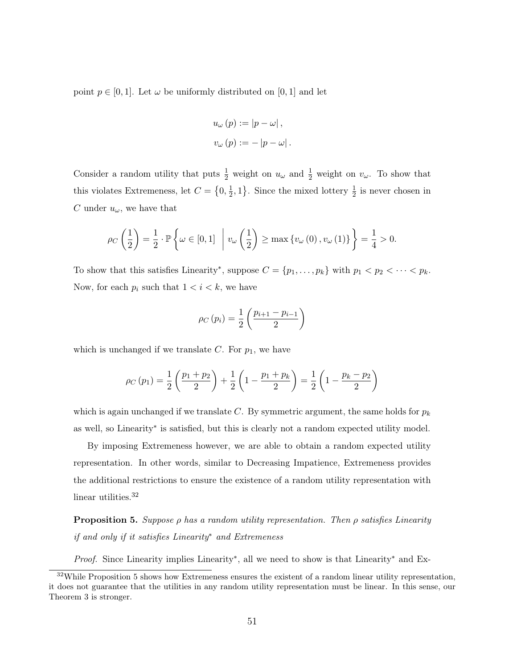point  $p \in [0, 1]$ . Let  $\omega$  be uniformly distributed on [0, 1] and let

$$
u_{\omega}(p) := |p - \omega|,
$$
  

$$
v_{\omega}(p) := -|p - \omega|.
$$

Consider a random utility that puts  $\frac{1}{2}$  weight on  $u_{\omega}$  and  $\frac{1}{2}$  weight on  $v_{\omega}$ . To show that this violates Extremeness, let  $C = \{0, \frac{1}{2}\}$  $\frac{1}{2}$ , 1}. Since the mixed lottery  $\frac{1}{2}$  is never chosen in C under  $u_{\omega}$ , we have that

$$
\rho_C\left(\frac{1}{2}\right) = \frac{1}{2} \cdot \mathbb{P}\left\{\omega \in [0,1] \middle| v_{\omega}\left(\frac{1}{2}\right) \ge \max\left\{v_{\omega}(0), v_{\omega}(1)\right\}\right\} = \frac{1}{4} > 0.
$$

To show that this satisfies Linearity<sup>\*</sup>, suppose  $C = \{p_1, \ldots, p_k\}$  with  $p_1 < p_2 < \cdots < p_k$ . Now, for each  $p_i$  such that  $1 < i < k$ , we have

$$
\rho_C(p_i) = \frac{1}{2} \left( \frac{p_{i+1} - p_{i-1}}{2} \right)
$$

which is unchanged if we translate C. For  $p_1$ , we have

$$
\rho_C(p_1) = \frac{1}{2} \left( \frac{p_1 + p_2}{2} \right) + \frac{1}{2} \left( 1 - \frac{p_1 + p_k}{2} \right) = \frac{1}{2} \left( 1 - \frac{p_k - p_2}{2} \right)
$$

which is again unchanged if we translate C. By symmetric argument, the same holds for  $p_k$ as well, so Linearity<sup>∗</sup> is satisfied, but this is clearly not a random expected utility model.

By imposing Extremeness however, we are able to obtain a random expected utility representation. In other words, similar to Decreasing Impatience, Extremeness provides the additional restrictions to ensure the existence of a random utility representation with linear utilities.<sup>32</sup>

**Proposition 5.** Suppose  $\rho$  has a random utility representation. Then  $\rho$  satisfies Linearity if and only if it satisfies Linearity<sup>∗</sup> and Extremeness

Proof. Since Linearity implies Linearity<sup>\*</sup>, all we need to show is that Linearity<sup>\*</sup> and Ex-

 $32$ While Proposition 5 shows how Extremeness ensures the existent of a random linear utility representation, it does not guarantee that the utilities in any random utility representation must be linear. In this sense, our Theorem 3 is stronger.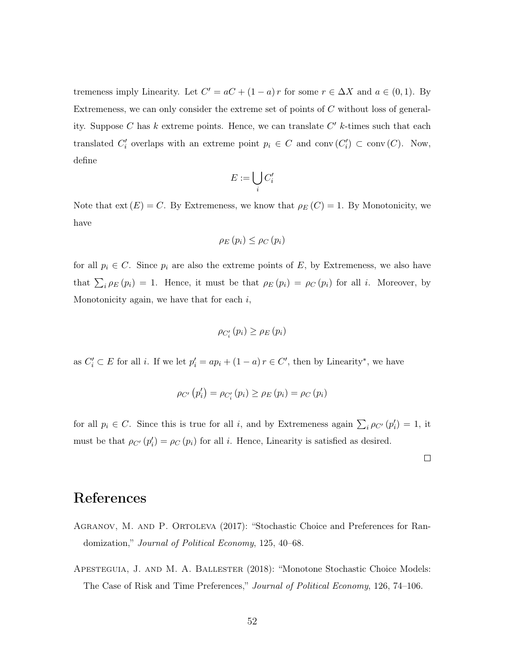tremeness imply Linearity. Let  $C' = aC + (1 - a)r$  for some  $r \in \Delta X$  and  $a \in (0, 1)$ . By Extremeness, we can only consider the extreme set of points of  $C$  without loss of generality. Suppose C has  $k$  extreme points. Hence, we can translate  $C'$  k-times such that each translated  $C'_i$  overlaps with an extreme point  $p_i \in C$  and conv $(C'_i) \subset \text{conv}(C)$ . Now, define

$$
E:=\bigcup_i C'_i
$$

Note that  $ext(E) = C$ . By Extremeness, we know that  $\rho_E(C) = 1$ . By Monotonicity, we have

$$
\rho_E(p_i) \leq \rho_C(p_i)
$$

for all  $p_i \in C$ . Since  $p_i$  are also the extreme points of E, by Extremeness, we also have that  $\sum_i \rho_E(p_i) = 1$ . Hence, it must be that  $\rho_E(p_i) = \rho_C(p_i)$  for all *i*. Moreover, by Monotonicity again, we have that for each  $i$ ,

$$
\rho_{C_i'}(p_i) \geq \rho_E(p_i)
$$

as  $C'_i \subset E$  for all *i*. If we let  $p'_i = ap_i + (1 - a) r \in C'$ , then by Linearity<sup>\*</sup>, we have

$$
\rho_{C'}(p'_i) = \rho_{C'_i}(p_i) \ge \rho_E(p_i) = \rho_C(p_i)
$$

for all  $p_i \in C$ . Since this is true for all i, and by Extremeness again  $\sum_i \rho_{C'}(p'_i) = 1$ , it must be that  $\rho_{C'}(p'_i) = \rho_C(p_i)$  for all *i*. Hence, Linearity is satisfied as desired.

 $\Box$ 

# References

- Agranov, M. and P. Ortoleva (2017): "Stochastic Choice and Preferences for Randomization," Journal of Political Economy, 125, 40–68.
- Apesteguia, J. and M. A. Ballester (2018): "Monotone Stochastic Choice Models: The Case of Risk and Time Preferences," Journal of Political Economy, 126, 74–106.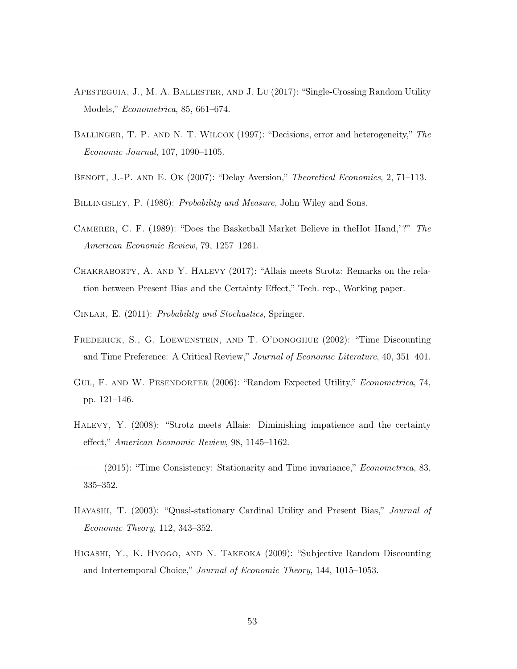- Apesteguia, J., M. A. Ballester, and J. Lu (2017): "Single-Crossing Random Utility Models," Econometrica, 85, 661–674.
- BALLINGER, T. P. AND N. T. WILCOX (1997): "Decisions, error and heterogeneity," The Economic Journal, 107, 1090–1105.
- BENOIT, J.-P. AND E. OK (2007): "Delay Aversion," Theoretical Economics, 2, 71-113.
- BILLINGSLEY, P. (1986): *Probability and Measure*, John Wiley and Sons.
- Camerer, C. F. (1989): "Does the Basketball Market Believe in theHot Hand,'?" The American Economic Review, 79, 1257–1261.
- Chakraborty, A. and Y. Halevy (2017): "Allais meets Strotz: Remarks on the relation between Present Bias and the Certainty Effect," Tech. rep., Working paper.
- CINLAR, E. (2011): *Probability and Stochastics*, Springer.
- Frederick, S., G. Loewenstein, and T. O'donoghue (2002): "Time Discounting and Time Preference: A Critical Review," Journal of Economic Literature, 40, 351–401.
- GUL, F. AND W. PESENDORFER (2006): "Random Expected Utility," Econometrica, 74, pp. 121–146.
- Halevy, Y. (2008): "Strotz meets Allais: Diminishing impatience and the certainty effect," American Economic Review, 98, 1145–1162.
- $-(2015)$ : "Time Consistency: Stationarity and Time invariance," *Econometrica*, 83, 335–352.
- HAYASHI, T. (2003): "Quasi-stationary Cardinal Utility and Present Bias," Journal of Economic Theory, 112, 343–352.
- Higashi, Y., K. Hyogo, and N. Takeoka (2009): "Subjective Random Discounting and Intertemporal Choice," Journal of Economic Theory, 144, 1015–1053.